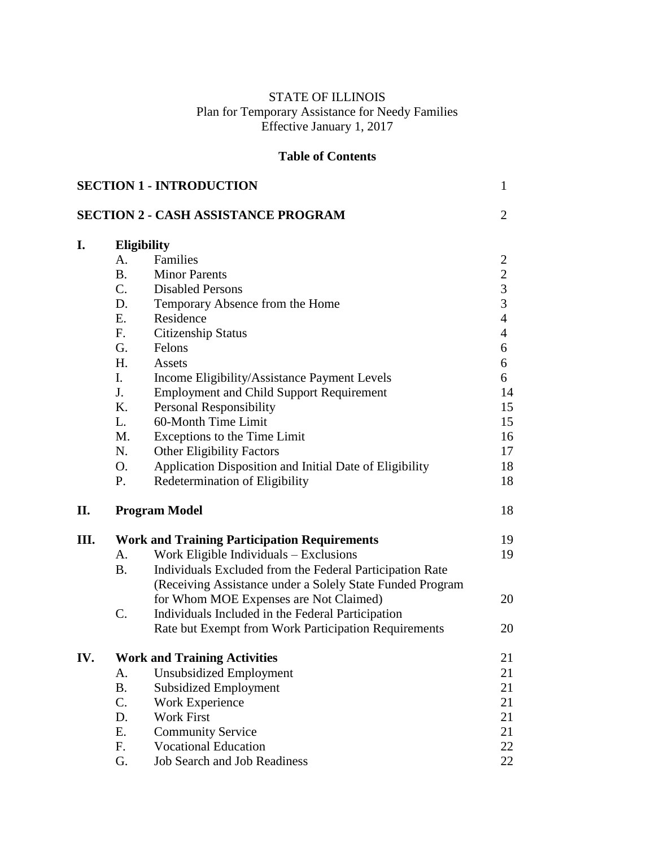# STATE OF ILLINOIS Plan for Temporary Assistance for Needy Families Effective January 1, 2017

# **Table of Contents**

|     |                | <b>SECTION 1 - INTRODUCTION</b>                           | $\mathbf{1}$   |
|-----|----------------|-----------------------------------------------------------|----------------|
|     |                | <b>SECTION 2 - CASH ASSISTANCE PROGRAM</b>                | $\overline{2}$ |
| I.  |                | <b>Eligibility</b>                                        |                |
|     | A.             | Families                                                  | 2              |
|     | B <sub>r</sub> | <b>Minor Parents</b>                                      |                |
|     | $C_{\cdot}$    | <b>Disabled Persons</b>                                   | $\frac{2}{3}$  |
|     | D.             | Temporary Absence from the Home                           | $\overline{3}$ |
|     | E.             | Residence                                                 | $\overline{4}$ |
|     | F.             | <b>Citizenship Status</b>                                 | $\overline{4}$ |
|     | G.             | Felons                                                    | 6              |
|     | H.             | Assets                                                    | 6              |
|     | $\mathbf{I}$ . | Income Eligibility/Assistance Payment Levels              | 6              |
|     | J.             | <b>Employment and Child Support Requirement</b>           | 14             |
|     | K.             | <b>Personal Responsibility</b>                            | 15             |
|     | L.             | 60-Month Time Limit                                       | 15             |
|     | M.             | Exceptions to the Time Limit                              | 16             |
|     | N.             | <b>Other Eligibility Factors</b>                          | 17             |
|     | O.             | Application Disposition and Initial Date of Eligibility   | 18             |
|     | P.             | Redetermination of Eligibility                            | 18             |
| П.  |                | <b>Program Model</b>                                      | 18             |
| Ш.  |                | <b>Work and Training Participation Requirements</b>       | 19             |
|     | А.             | Work Eligible Individuals - Exclusions                    | 19             |
|     | <b>B.</b>      | Individuals Excluded from the Federal Participation Rate  |                |
|     |                | (Receiving Assistance under a Solely State Funded Program |                |
|     |                | for Whom MOE Expenses are Not Claimed)                    | 20             |
|     | C.             | Individuals Included in the Federal Participation         |                |
|     |                | Rate but Exempt from Work Participation Requirements      | 20             |
| IV. |                | <b>Work and Training Activities</b>                       | 21             |
|     | A.             | <b>Unsubsidized Employment</b>                            | 21             |
|     | <b>B.</b>      | <b>Subsidized Employment</b>                              | 21             |
|     | C.             | Work Experience                                           | 21             |
|     | D.             | <b>Work First</b>                                         | 21             |
|     | Ε.             | <b>Community Service</b>                                  | 21             |
|     | F.             | <b>Vocational Education</b>                               | 22             |
|     | G.             | <b>Job Search and Job Readiness</b>                       | 22             |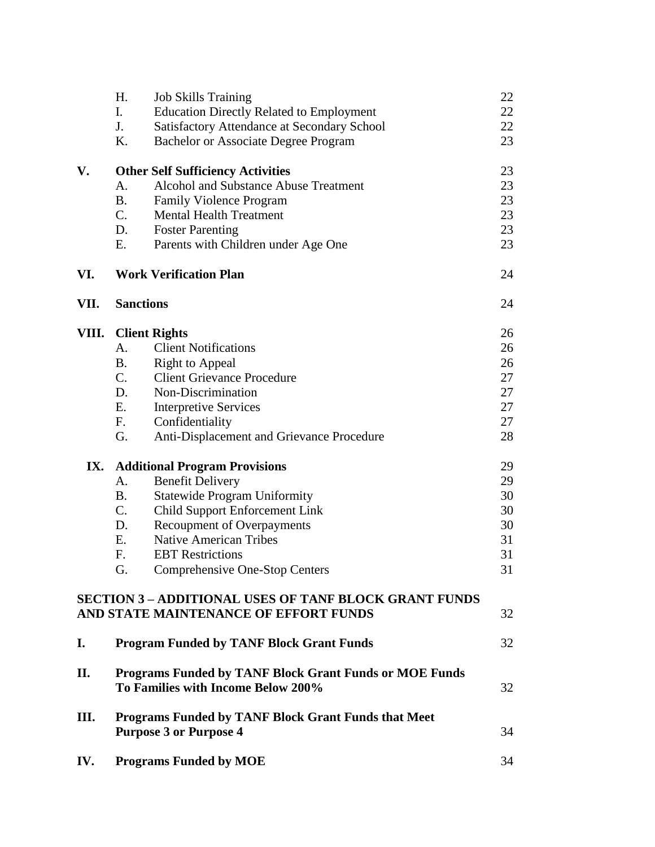|      | Η.<br><b>Job Skills Training</b>                   |                                                               | 22 |
|------|----------------------------------------------------|---------------------------------------------------------------|----|
|      | I.                                                 | <b>Education Directly Related to Employment</b>               | 22 |
|      | J.                                                 | <b>Satisfactory Attendance at Secondary School</b>            | 22 |
|      | Κ.<br><b>Bachelor or Associate Degree Program</b>  |                                                               | 23 |
| V.   | <b>Other Self Sufficiency Activities</b>           |                                                               | 23 |
|      | <b>Alcohol and Substance Abuse Treatment</b><br>A. |                                                               | 23 |
|      | <b>B.</b><br><b>Family Violence Program</b>        |                                                               | 23 |
|      | $C_{\cdot}$<br><b>Mental Health Treatment</b>      |                                                               | 23 |
|      | D.<br><b>Foster Parenting</b>                      |                                                               | 23 |
|      | Ε.<br>Parents with Children under Age One          |                                                               | 23 |
| VI.  | <b>Work Verification Plan</b>                      |                                                               | 24 |
| VII. | <b>Sanctions</b>                                   |                                                               | 24 |
|      | <b>VIII.</b> Client Rights                         |                                                               | 26 |
|      | <b>Client Notifications</b><br>А.                  |                                                               | 26 |
|      | <b>B.</b><br><b>Right to Appeal</b>                |                                                               | 26 |
|      | $C_{\cdot}$<br><b>Client Grievance Procedure</b>   |                                                               | 27 |
|      | Non-Discrimination<br>D.                           |                                                               | 27 |
|      | E.<br><b>Interpretive Services</b>                 |                                                               | 27 |
|      | Confidentiality<br>F.                              |                                                               | 27 |
|      | G.                                                 | Anti-Displacement and Grievance Procedure                     | 28 |
| IX.  | <b>Additional Program Provisions</b>               |                                                               | 29 |
|      | <b>Benefit Delivery</b><br>A.                      |                                                               | 29 |
|      | <b>Statewide Program Uniformity</b><br>B.          |                                                               | 30 |
|      | C.<br><b>Child Support Enforcement Link</b>        |                                                               | 30 |
|      | <b>Recoupment of Overpayments</b><br>D.            |                                                               | 30 |
|      | <b>Native American Tribes</b><br>Ε.                |                                                               | 31 |
|      | F.<br><b>EBT</b> Restrictions                      |                                                               | 31 |
|      | G.<br>Comprehensive One-Stop Centers               |                                                               | 31 |
|      | AND STATE MAINTENANCE OF EFFORT FUNDS              | <b>SECTION 3 - ADDITIONAL USES OF TANF BLOCK GRANT FUNDS</b>  | 32 |
| I.   | <b>Program Funded by TANF Block Grant Funds</b>    |                                                               | 32 |
| П.   | To Families with Income Below 200%                 | <b>Programs Funded by TANF Block Grant Funds or MOE Funds</b> | 32 |
| III. | <b>Purpose 3 or Purpose 4</b>                      | <b>Programs Funded by TANF Block Grant Funds that Meet</b>    | 34 |
| IV.  | <b>Programs Funded by MOE</b>                      |                                                               | 34 |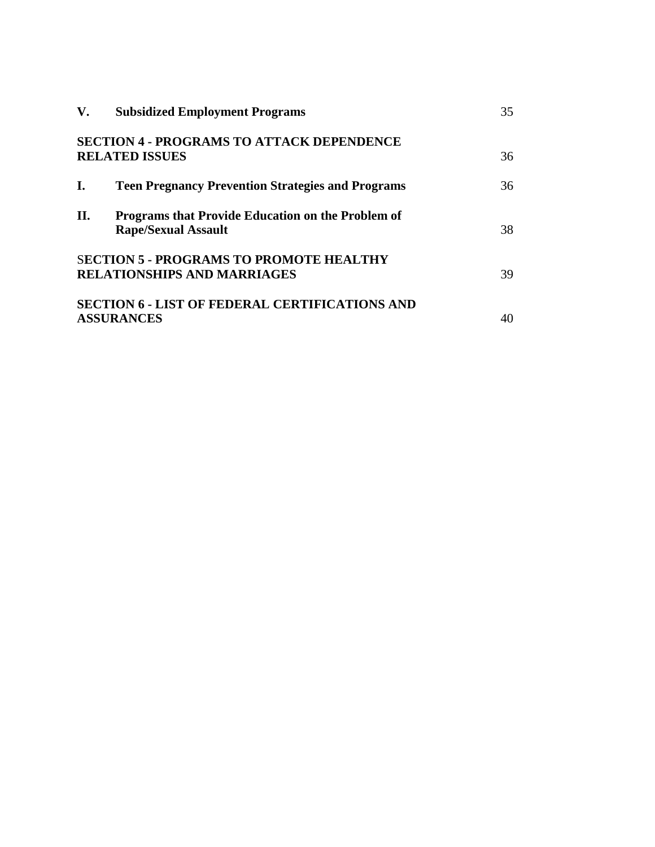| V.  | <b>Subsidized Employment Programs</b>                                                | 35 |
|-----|--------------------------------------------------------------------------------------|----|
|     | <b>SECTION 4 - PROGRAMS TO ATTACK DEPENDENCE</b><br><b>RELATED ISSUES</b>            | 36 |
| L.  | <b>Teen Pregnancy Prevention Strategies and Programs</b>                             | 36 |
| II. | Programs that Provide Education on the Problem of<br><b>Rape/Sexual Assault</b>      | 38 |
|     | <b>SECTION 5 - PROGRAMS TO PROMOTE HEALTHY</b><br><b>RELATIONSHIPS AND MARRIAGES</b> | 39 |
|     | <b>SECTION 6 - LIST OF FEDERAL CERTIFICATIONS AND</b><br><b>ASSURANCES</b>           | 40 |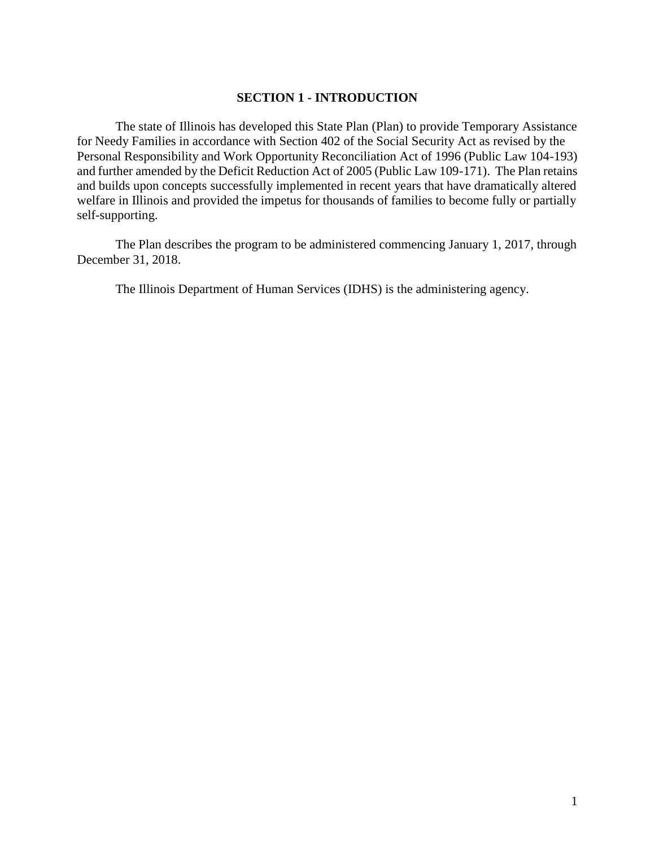## **SECTION 1 - INTRODUCTION**

The state of Illinois has developed this State Plan (Plan) to provide Temporary Assistance for Needy Families in accordance with Section 402 of the Social Security Act as revised by the Personal Responsibility and Work Opportunity Reconciliation Act of 1996 (Public Law 104-193) and further amended by the Deficit Reduction Act of 2005 (Public Law 109-171). The Plan retains and builds upon concepts successfully implemented in recent years that have dramatically altered welfare in Illinois and provided the impetus for thousands of families to become fully or partially self-supporting.

The Plan describes the program to be administered commencing January 1, 2017, through December 31, 2018.

The Illinois Department of Human Services (IDHS) is the administering agency.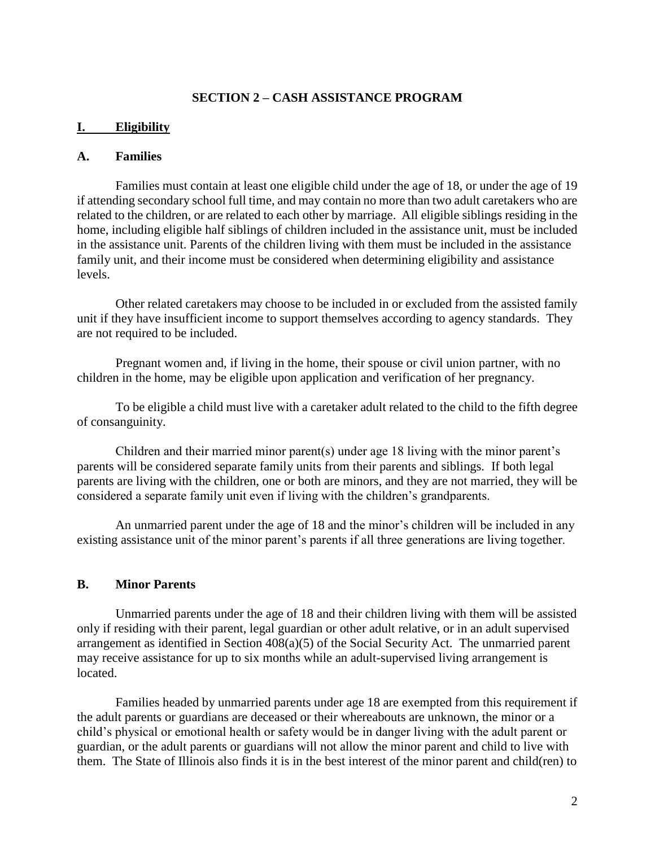## **SECTION 2 – CASH ASSISTANCE PROGRAM**

#### **I. Eligibility**

## **A. Families**

Families must contain at least one eligible child under the age of 18, or under the age of 19 if attending secondary school full time, and may contain no more than two adult caretakers who are related to the children, or are related to each other by marriage. All eligible siblings residing in the home, including eligible half siblings of children included in the assistance unit, must be included in the assistance unit. Parents of the children living with them must be included in the assistance family unit, and their income must be considered when determining eligibility and assistance levels.

Other related caretakers may choose to be included in or excluded from the assisted family unit if they have insufficient income to support themselves according to agency standards. They are not required to be included.

Pregnant women and, if living in the home, their spouse or civil union partner, with no children in the home, may be eligible upon application and verification of her pregnancy.

To be eligible a child must live with a caretaker adult related to the child to the fifth degree of consanguinity.

Children and their married minor parent(s) under age 18 living with the minor parent's parents will be considered separate family units from their parents and siblings*.* If both legal parents are living with the children, one or both are minors, and they are not married, they will be considered a separate family unit even if living with the children's grandparents.

An unmarried parent under the age of 18 and the minor's children will be included in any existing assistance unit of the minor parent's parents if all three generations are living together.

#### **B. Minor Parents**

Unmarried parents under the age of 18 and their children living with them will be assisted only if residing with their parent, legal guardian or other adult relative, or in an adult supervised arrangement as identified in Section 408(a)(5) of the Social Security Act. The unmarried parent may receive assistance for up to six months while an adult-supervised living arrangement is located.

Families headed by unmarried parents under age 18 are exempted from this requirement if the adult parents or guardians are deceased or their whereabouts are unknown, the minor or a child's physical or emotional health or safety would be in danger living with the adult parent or guardian, or the adult parents or guardians will not allow the minor parent and child to live with them. The State of Illinois also finds it is in the best interest of the minor parent and child(ren) to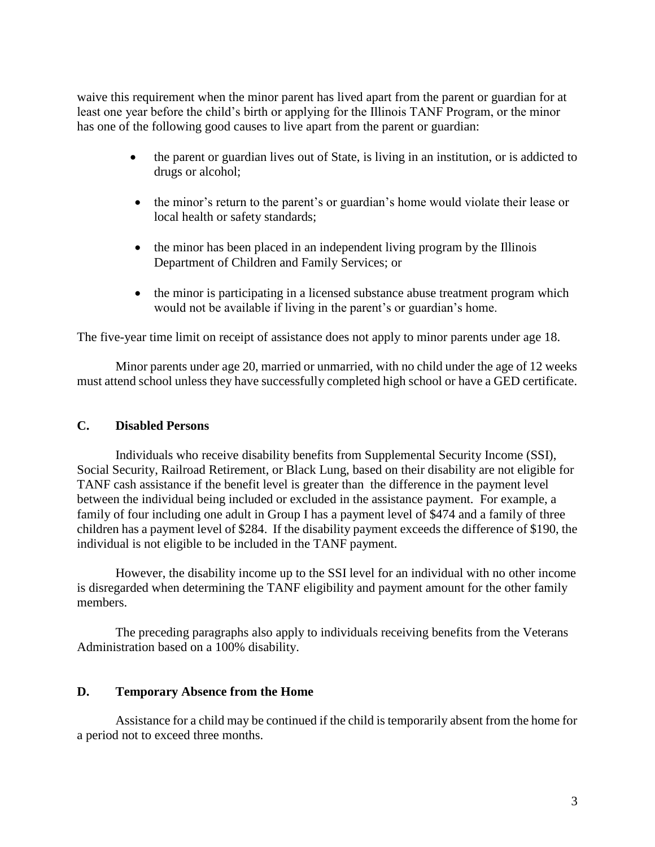waive this requirement when the minor parent has lived apart from the parent or guardian for at least one year before the child's birth or applying for the Illinois TANF Program, or the minor has one of the following good causes to live apart from the parent or guardian:

- the parent or guardian lives out of State, is living in an institution, or is addicted to drugs or alcohol;
- the minor's return to the parent's or guardian's home would violate their lease or local health or safety standards;
- the minor has been placed in an independent living program by the Illinois Department of Children and Family Services; or
- the minor is participating in a licensed substance abuse treatment program which would not be available if living in the parent's or guardian's home.

The five-year time limit on receipt of assistance does not apply to minor parents under age 18.

Minor parents under age 20, married or unmarried, with no child under the age of 12 weeks must attend school unless they have successfully completed high school or have a GED certificate.

## **C. Disabled Persons**

Individuals who receive disability benefits from Supplemental Security Income (SSI), Social Security, Railroad Retirement, or Black Lung, based on their disability are not eligible for TANF cash assistance if the benefit level is greater than the difference in the payment level between the individual being included or excluded in the assistance payment. For example, a family of four including one adult in Group I has a payment level of \$474 and a family of three children has a payment level of \$284. If the disability payment exceeds the difference of \$190, the individual is not eligible to be included in the TANF payment.

However, the disability income up to the SSI level for an individual with no other income is disregarded when determining the TANF eligibility and payment amount for the other family members.

The preceding paragraphs also apply to individuals receiving benefits from the Veterans Administration based on a 100% disability.

## **D. Temporary Absence from the Home**

Assistance for a child may be continued if the child is temporarily absent from the home for a period not to exceed three months.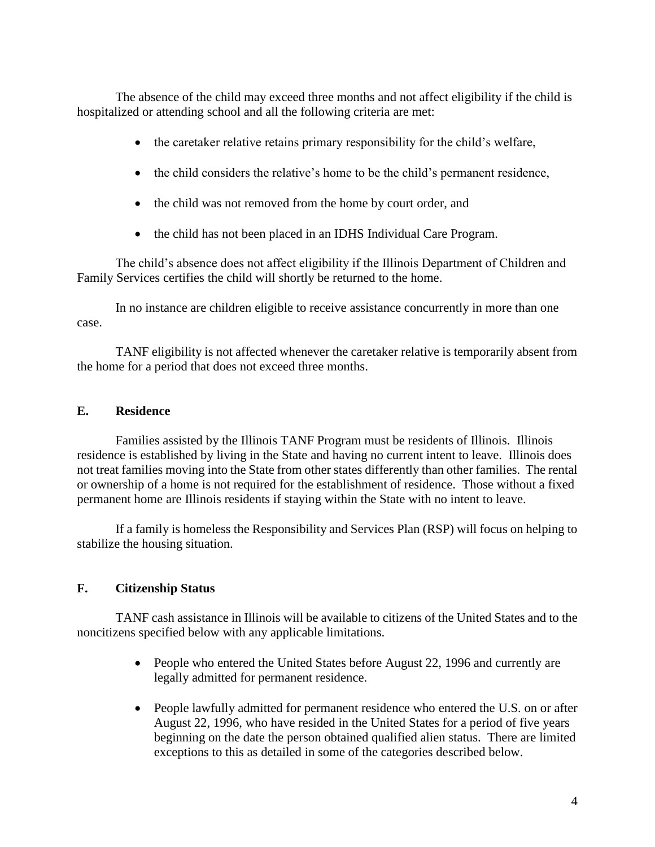The absence of the child may exceed three months and not affect eligibility if the child is hospitalized or attending school and all the following criteria are met:

- the caretaker relative retains primary responsibility for the child's welfare,
- the child considers the relative's home to be the child's permanent residence,
- the child was not removed from the home by court order, and
- the child has not been placed in an IDHS Individual Care Program.

The child's absence does not affect eligibility if the Illinois Department of Children and Family Services certifies the child will shortly be returned to the home.

In no instance are children eligible to receive assistance concurrently in more than one case.

TANF eligibility is not affected whenever the caretaker relative is temporarily absent from the home for a period that does not exceed three months.

# **E. Residence**

Families assisted by the Illinois TANF Program must be residents of Illinois. Illinois residence is established by living in the State and having no current intent to leave. Illinois does not treat families moving into the State from other states differently than other families. The rental or ownership of a home is not required for the establishment of residence. Those without a fixed permanent home are Illinois residents if staying within the State with no intent to leave.

If a family is homeless the Responsibility and Services Plan (RSP) will focus on helping to stabilize the housing situation.

# **F. Citizenship Status**

TANF cash assistance in Illinois will be available to citizens of the United States and to the noncitizens specified below with any applicable limitations.

- People who entered the United States before August 22, 1996 and currently are legally admitted for permanent residence.
- People lawfully admitted for permanent residence who entered the U.S. on or after August 22, 1996, who have resided in the United States for a period of five years beginning on the date the person obtained qualified alien status. There are limited exceptions to this as detailed in some of the categories described below.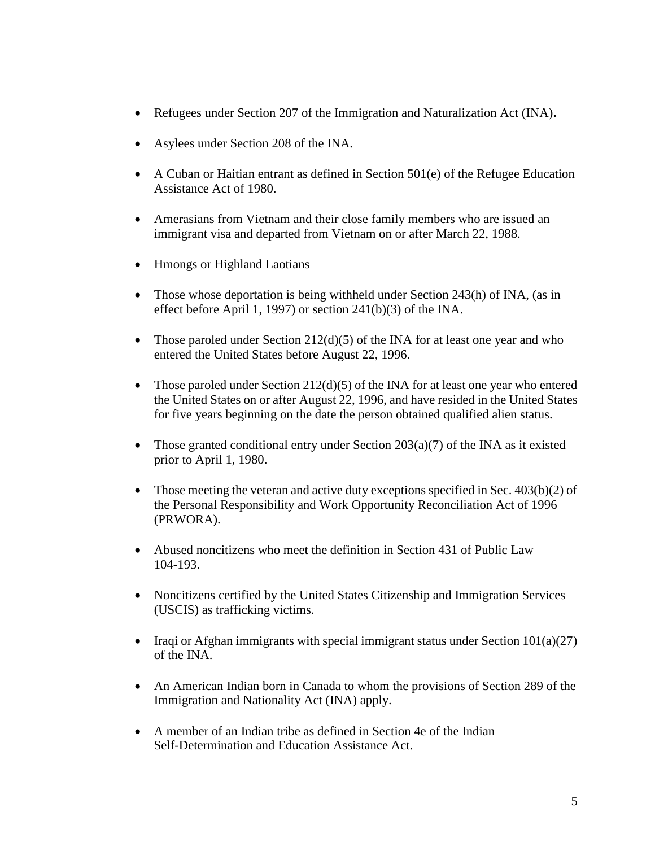- Refugees under Section 207 of the Immigration and Naturalization Act (INA)**.**
- Asylees under Section 208 of the INA.
- A Cuban or Haitian entrant as defined in Section 501(e) of the Refugee Education Assistance Act of 1980.
- Amerasians from Vietnam and their close family members who are issued an immigrant visa and departed from Vietnam on or after March 22, 1988.
- Hmongs or Highland Laotians
- Those whose deportation is being withheld under Section 243(h) of INA, (as in effect before April 1, 1997) or section 241(b)(3) of the INA.
- Those paroled under Section  $212(d)(5)$  of the INA for at least one year and who entered the United States before August 22, 1996.
- Those paroled under Section 212(d)(5) of the INA for at least one year who entered the United States on or after August 22, 1996, and have resided in the United States for five years beginning on the date the person obtained qualified alien status.
- Those granted conditional entry under Section  $203(a)(7)$  of the INA as it existed prior to April 1, 1980.
- Those meeting the veteran and active duty exceptions specified in Sec.  $403(b)(2)$  of the Personal Responsibility and Work Opportunity Reconciliation Act of 1996 (PRWORA).
- Abused noncitizens who meet the definition in Section 431 of Public Law 104-193.
- Noncitizens certified by the United States Citizenship and Immigration Services (USCIS) as trafficking victims.
- Iraqi or Afghan immigrants with special immigrant status under Section  $101(a)(27)$ of the INA.
- An American Indian born in Canada to whom the provisions of Section 289 of the Immigration and Nationality Act (INA) apply.
- A member of an Indian tribe as defined in Section 4e of the Indian Self-Determination and Education Assistance Act.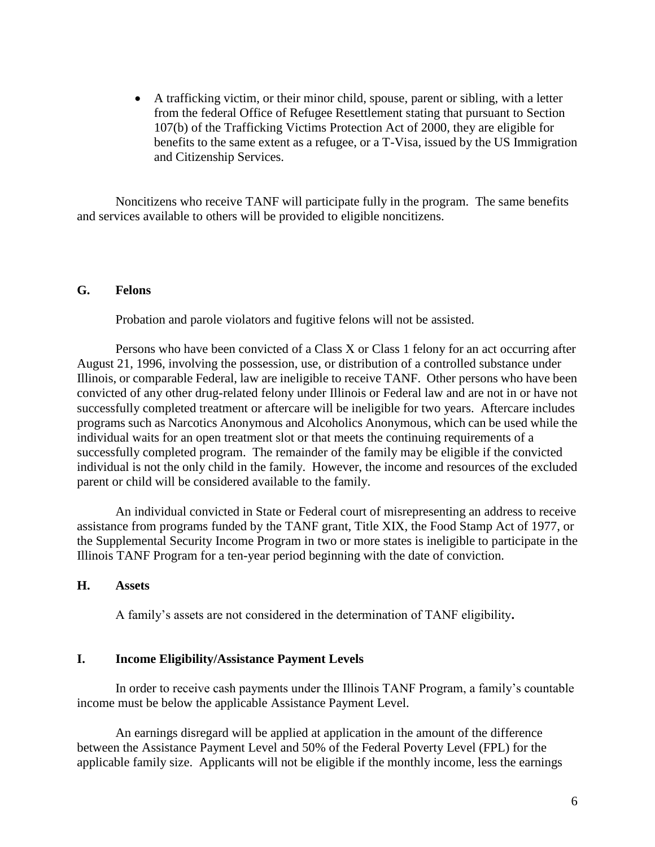A trafficking victim, or their minor child, spouse, parent or sibling, with a letter from the federal Office of Refugee Resettlement stating that pursuant to Section 107(b) of the Trafficking Victims Protection Act of 2000, they are eligible for benefits to the same extent as a refugee, or a T-Visa, issued by the US Immigration and Citizenship Services.

Noncitizens who receive TANF will participate fully in the program. The same benefits and services available to others will be provided to eligible noncitizens.

## **G. Felons**

Probation and parole violators and fugitive felons will not be assisted.

Persons who have been convicted of a Class X or Class 1 felony for an act occurring after August 21, 1996, involving the possession, use, or distribution of a controlled substance under Illinois, or comparable Federal, law are ineligible to receive TANF. Other persons who have been convicted of any other drug-related felony under Illinois or Federal law and are not in or have not successfully completed treatment or aftercare will be ineligible for two years. Aftercare includes programs such as Narcotics Anonymous and Alcoholics Anonymous, which can be used while the individual waits for an open treatment slot or that meets the continuing requirements of a successfully completed program. The remainder of the family may be eligible if the convicted individual is not the only child in the family. However, the income and resources of the excluded parent or child will be considered available to the family.

An individual convicted in State or Federal court of misrepresenting an address to receive assistance from programs funded by the TANF grant, Title XIX, the Food Stamp Act of 1977, or the Supplemental Security Income Program in two or more states is ineligible to participate in the Illinois TANF Program for a ten-year period beginning with the date of conviction.

## **H. Assets**

A family's assets are not considered in the determination of TANF eligibility**.**

## **I. Income Eligibility/Assistance Payment Levels**

In order to receive cash payments under the Illinois TANF Program, a family's countable income must be below the applicable Assistance Payment Level.

An earnings disregard will be applied at application in the amount of the difference between the Assistance Payment Level and 50% of the Federal Poverty Level (FPL) for the applicable family size. Applicants will not be eligible if the monthly income, less the earnings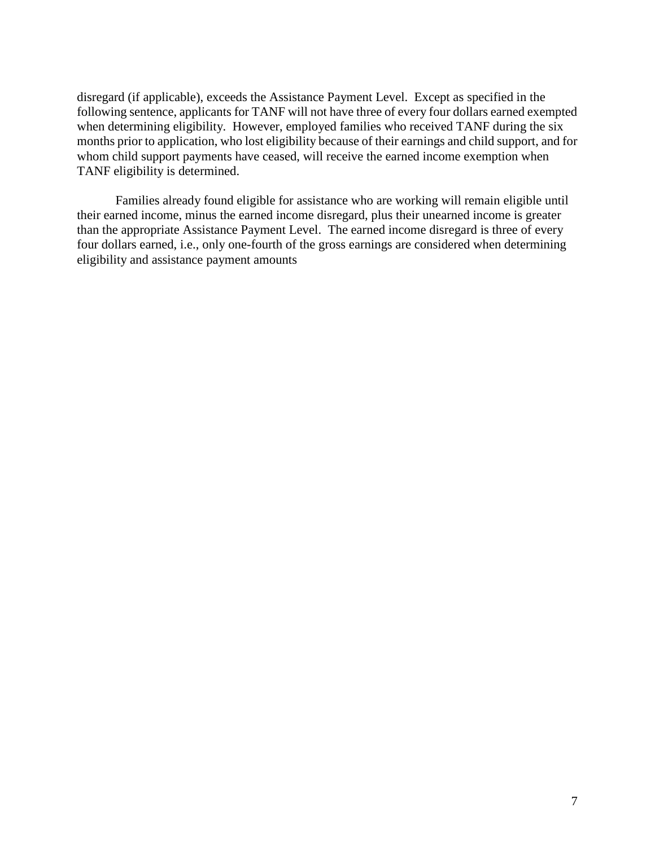disregard (if applicable), exceeds the Assistance Payment Level. Except as specified in the following sentence, applicants for TANF will not have three of every four dollars earned exempted when determining eligibility. However, employed families who received TANF during the six months prior to application, who lost eligibility because of their earnings and child support, and for whom child support payments have ceased, will receive the earned income exemption when TANF eligibility is determined.

Families already found eligible for assistance who are working will remain eligible until their earned income, minus the earned income disregard, plus their unearned income is greater than the appropriate Assistance Payment Level. The earned income disregard is three of every four dollars earned, i.e., only one-fourth of the gross earnings are considered when determining eligibility and assistance payment amounts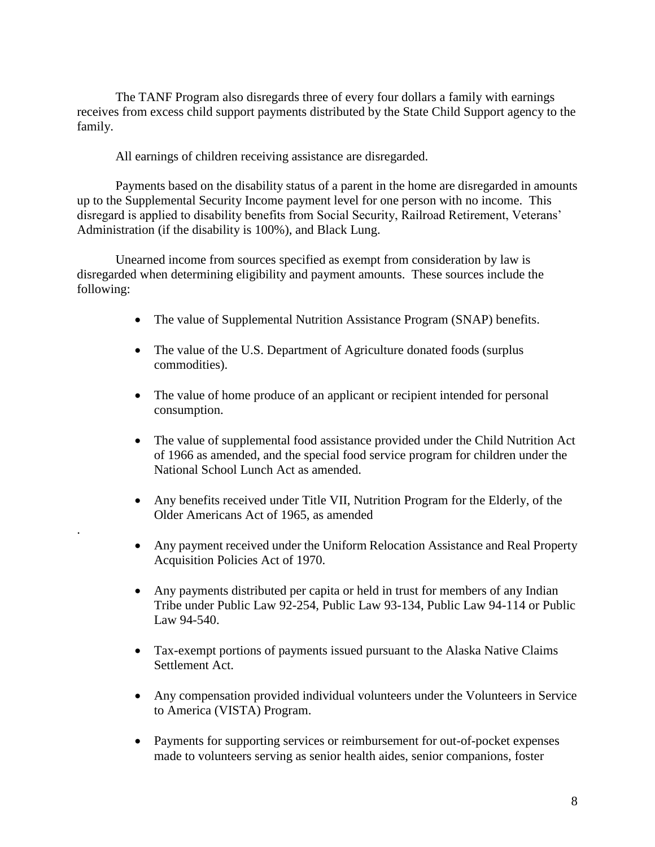The TANF Program also disregards three of every four dollars a family with earnings receives from excess child support payments distributed by the State Child Support agency to the family.

All earnings of children receiving assistance are disregarded.

.

Payments based on the disability status of a parent in the home are disregarded in amounts up to the Supplemental Security Income payment level for one person with no income. This disregard is applied to disability benefits from Social Security, Railroad Retirement, Veterans' Administration (if the disability is 100%), and Black Lung.

Unearned income from sources specified as exempt from consideration by law is disregarded when determining eligibility and payment amounts. These sources include the following:

- The value of Supplemental Nutrition Assistance Program (SNAP) benefits.
- The value of the U.S. Department of Agriculture donated foods (surplus commodities).
- The value of home produce of an applicant or recipient intended for personal consumption.
- The value of supplemental food assistance provided under the Child Nutrition Act of 1966 as amended, and the special food service program for children under the National School Lunch Act as amended.
- Any benefits received under Title VII, Nutrition Program for the Elderly, of the Older Americans Act of 1965, as amended
- Any payment received under the Uniform Relocation Assistance and Real Property Acquisition Policies Act of 1970.
- Any payments distributed per capita or held in trust for members of any Indian Tribe under Public Law 92-254, Public Law 93-134, Public Law 94-114 or Public Law 94-540.
- Tax-exempt portions of payments issued pursuant to the Alaska Native Claims Settlement Act.
- Any compensation provided individual volunteers under the Volunteers in Service to America (VISTA) Program.
- Payments for supporting services or reimbursement for out-of-pocket expenses made to volunteers serving as senior health aides, senior companions, foster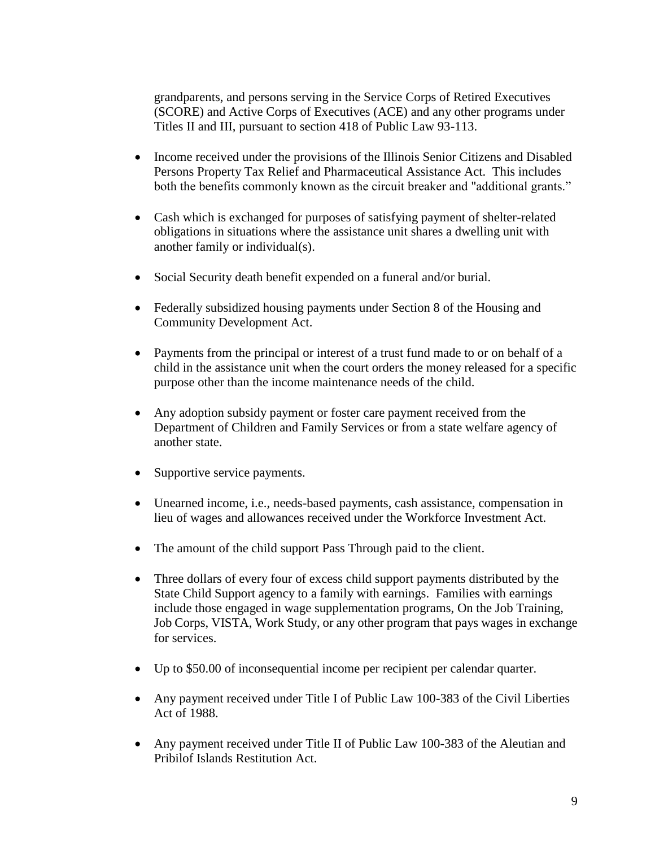grandparents, and persons serving in the Service Corps of Retired Executives (SCORE) and Active Corps of Executives (ACE) and any other programs under Titles II and III, pursuant to section 418 of Public Law 93-113.

- Income received under the provisions of the Illinois Senior Citizens and Disabled Persons Property Tax Relief and Pharmaceutical Assistance Act. This includes both the benefits commonly known as the circuit breaker and "additional grants."
- Cash which is exchanged for purposes of satisfying payment of shelter-related obligations in situations where the assistance unit shares a dwelling unit with another family or individual(s).
- Social Security death benefit expended on a funeral and/or burial.
- Federally subsidized housing payments under Section 8 of the Housing and Community Development Act.
- Payments from the principal or interest of a trust fund made to or on behalf of a child in the assistance unit when the court orders the money released for a specific purpose other than the income maintenance needs of the child.
- Any adoption subsidy payment or foster care payment received from the Department of Children and Family Services or from a state welfare agency of another state.
- Supportive service payments.
- Unearned income, i.e., needs-based payments, cash assistance, compensation in lieu of wages and allowances received under the Workforce Investment Act.
- The amount of the child support Pass Through paid to the client.
- Three dollars of every four of excess child support payments distributed by the State Child Support agency to a family with earnings. Families with earnings include those engaged in wage supplementation programs, On the Job Training, Job Corps, VISTA, Work Study, or any other program that pays wages in exchange for services.
- Up to \$50.00 of inconsequential income per recipient per calendar quarter.
- Any payment received under Title I of Public Law 100-383 of the Civil Liberties Act of 1988.
- Any payment received under Title II of Public Law 100-383 of the Aleutian and Pribilof Islands Restitution Act.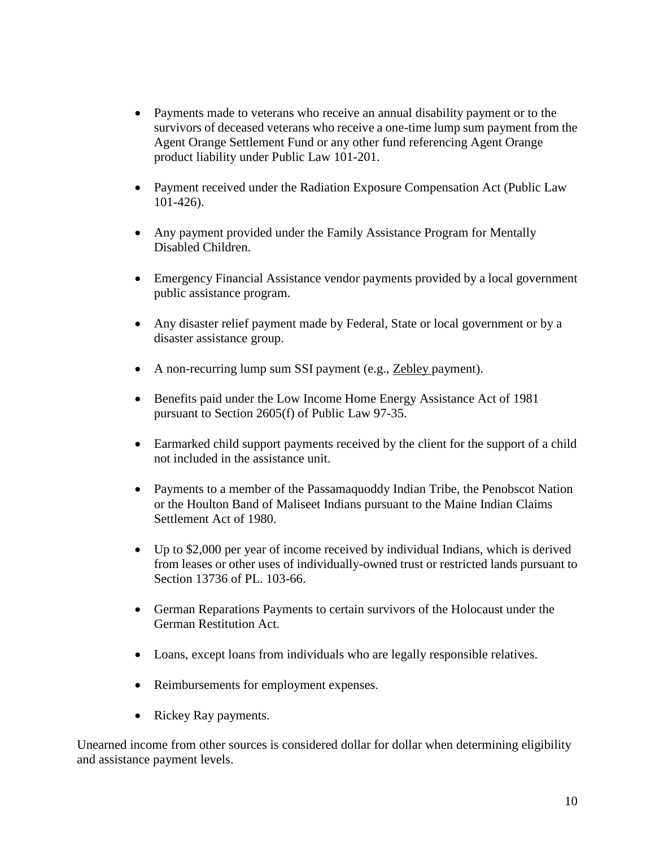- Payments made to veterans who receive an annual disability payment or to the survivors of deceased veterans who receive a one-time lump sum payment from the Agent Orange Settlement Fund or any other fund referencing Agent Orange product liability under Public Law 101-201.
- Payment received under the Radiation Exposure Compensation Act (Public Law 101-426).
- Any payment provided under the Family Assistance Program for Mentally Disabled Children.
- Emergency Financial Assistance vendor payments provided by a local government public assistance program.
- Any disaster relief payment made by Federal, State or local government or by a disaster assistance group.
- A non-recurring lump sum SSI payment (e.g., Zebley payment).
- Benefits paid under the Low Income Home Energy Assistance Act of 1981 pursuant to Section 2605(f) of Public Law 97-35.
- Earmarked child support payments received by the client for the support of a child not included in the assistance unit.
- Payments to a member of the Passamaquoddy Indian Tribe, the Penobscot Nation or the Houlton Band of Maliseet Indians pursuant to the Maine Indian Claims Settlement Act of 1980.
- Up to \$2,000 per year of income received by individual Indians, which is derived from leases or other uses of individually-owned trust or restricted lands pursuant to Section 13736 of PL. 103-66.
- German Reparations Payments to certain survivors of the Holocaust under the German Restitution Act.
- Loans, except loans from individuals who are legally responsible relatives.
- Reimbursements for employment expenses.
- Rickey Ray payments.

Unearned income from other sources is considered dollar for dollar when determining eligibility and assistance payment levels.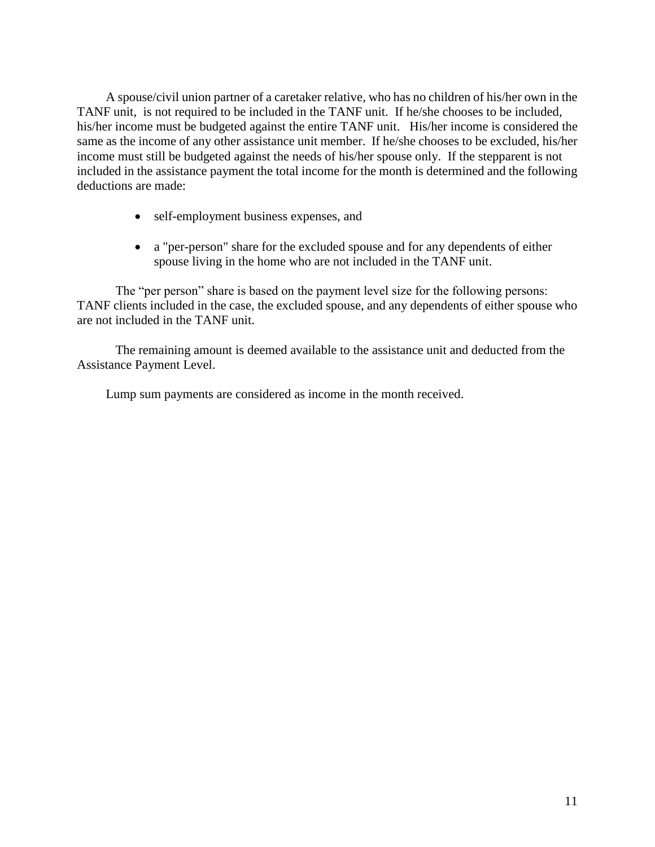A spouse/civil union partner of a caretaker relative, who has no children of his/her own in the TANF unit, is not required to be included in the TANF unit. If he/she chooses to be included, his/her income must be budgeted against the entire TANF unit. His/her income is considered the same as the income of any other assistance unit member. If he/she chooses to be excluded, his/her income must still be budgeted against the needs of his/her spouse only. If the stepparent is not included in the assistance payment the total income for the month is determined and the following deductions are made:

- self-employment business expenses, and
- a "per-person" share for the excluded spouse and for any dependents of either spouse living in the home who are not included in the TANF unit.

The "per person" share is based on the payment level size for the following persons: TANF clients included in the case, the excluded spouse, and any dependents of either spouse who are not included in the TANF unit.

The remaining amount is deemed available to the assistance unit and deducted from the Assistance Payment Level.

Lump sum payments are considered as income in the month received.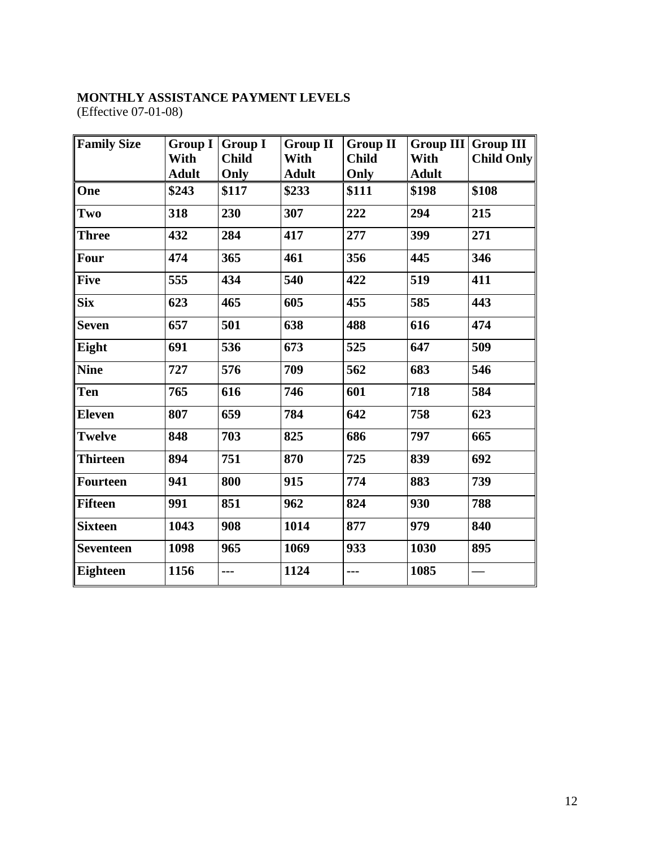# **MONTHLY ASSISTANCE PAYMENT LEVELS** (Effective 07-01-08)

| <b>Family Size</b> | <b>Group I</b> | <b>Group I</b> | <b>Group II</b> | <b>Group II</b> |              | Group III Group III |
|--------------------|----------------|----------------|-----------------|-----------------|--------------|---------------------|
|                    | With           | <b>Child</b>   | With            | <b>Child</b>    | With         | Child Only          |
|                    | <b>Adult</b>   | Only           | <b>Adult</b>    | Only            | <b>Adult</b> |                     |
| One                | \$243          | \$117          | \$233           | \$111           | \$198        | \$108               |
| Two                | 318            | 230            | 307             | 222             | 294          | 215                 |
| <b>Three</b>       | 432            | 284            | 417             | 277             | 399          | 271                 |
| Four               | 474            | 365            | 461             | 356             | 445          | 346                 |
| <b>Five</b>        | 555            | 434            | 540             | 422             | 519          | 411                 |
| <b>Six</b>         | 623            | 465            | 605             | 455             | 585          | 443                 |
| <b>Seven</b>       | 657            | 501            | 638             | 488             | 616          | 474                 |
| Eight              | 691            | 536            | 673             | 525             | 647          | 509                 |
| <b>Nine</b>        | 727            | 576            | 709             | 562             | 683          | 546                 |
| Ten                | 765            | 616            | 746             | 601             | 718          | 584                 |
| <b>Eleven</b>      | 807            | 659            | 784             | 642             | 758          | 623                 |
| <b>Twelve</b>      | 848            | 703            | 825             | 686             | 797          | 665                 |
| Thirteen           | 894            | 751            | 870             | 725             | 839          | 692                 |
| Fourteen           | 941            | 800            | 915             | 774             | 883          | 739                 |
| Fifteen            | 991            | 851            | 962             | 824             | 930          | 788                 |
| <b>Sixteen</b>     | 1043           | 908            | 1014            | 877             | 979          | 840                 |
| <b>Seventeen</b>   | 1098           | 965            | 1069            | 933             | 1030         | 895                 |
| Eighteen           | 1156           | ---            | 1124            | ---             | 1085         |                     |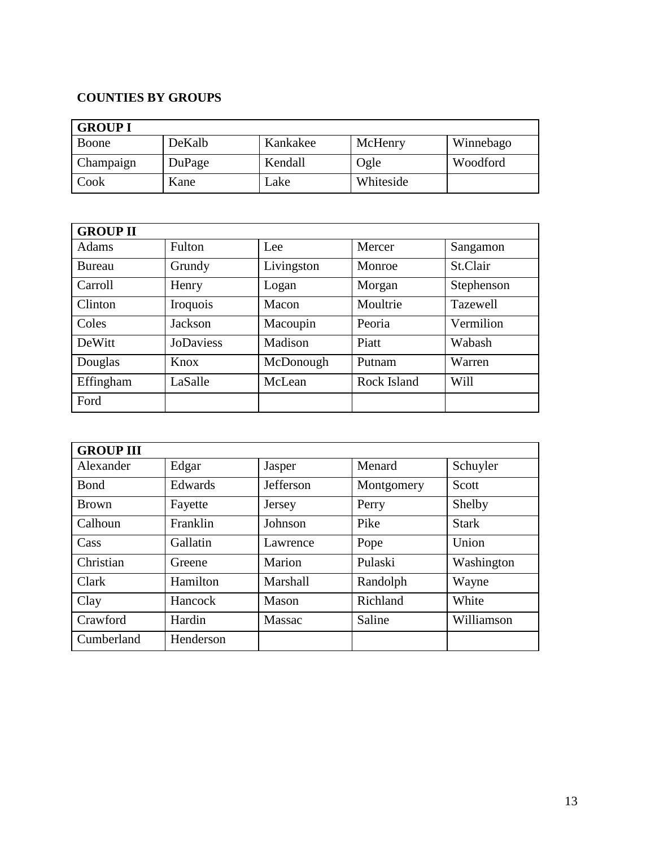# **COUNTIES BY GROUPS**

| <b>GROUP I</b> |        |          |           |           |  |  |
|----------------|--------|----------|-----------|-----------|--|--|
| Boone          | DeKalb | Kankakee | McHenry   | Winnebago |  |  |
| Champaign      | DuPage | Kendall  | Ogle      | Woodford  |  |  |
| Cook           | Kane   | Lake     | Whiteside |           |  |  |

| <b>GROUP II</b> |                  |            |             |            |  |  |
|-----------------|------------------|------------|-------------|------------|--|--|
| <b>Adams</b>    | Fulton           | Lee        | Mercer      | Sangamon   |  |  |
| Bureau          | Grundy           | Livingston | Monroe      | St.Clair   |  |  |
| Carroll         | Henry            | Logan      | Morgan      | Stephenson |  |  |
| Clinton         | Iroquois         | Macon      | Moultrie    | Tazewell   |  |  |
| Coles           | Jackson          | Macoupin   | Peoria      | Vermilion  |  |  |
| DeWitt          | <b>JoDaviess</b> | Madison    | Piatt       | Wabash     |  |  |
| Douglas         | Knox             | McDonough  | Putnam      | Warren     |  |  |
| Effingham       | LaSalle          | McLean     | Rock Island | Will       |  |  |
| Ford            |                  |            |             |            |  |  |

| <b>GROUP III</b> |           |           |            |              |  |  |
|------------------|-----------|-----------|------------|--------------|--|--|
| Alexander        | Edgar     | Jasper    | Menard     | Schuyler     |  |  |
| <b>B</b> ond     | Edwards   | Jefferson | Montgomery | Scott        |  |  |
| <b>Brown</b>     | Fayette   | Jersey    | Perry      | Shelby       |  |  |
| Calhoun          | Franklin  | Johnson   | Pike       | <b>Stark</b> |  |  |
| Cass             | Gallatin  | Lawrence  | Pope       | Union        |  |  |
| Christian        | Greene    | Marion    | Pulaski    | Washington   |  |  |
| Clark            | Hamilton  | Marshall  | Randolph   | Wayne        |  |  |
| Clay             | Hancock   | Mason     | Richland   | White        |  |  |
| Crawford         | Hardin    | Massac    | Saline     | Williamson   |  |  |
| Cumberland       | Henderson |           |            |              |  |  |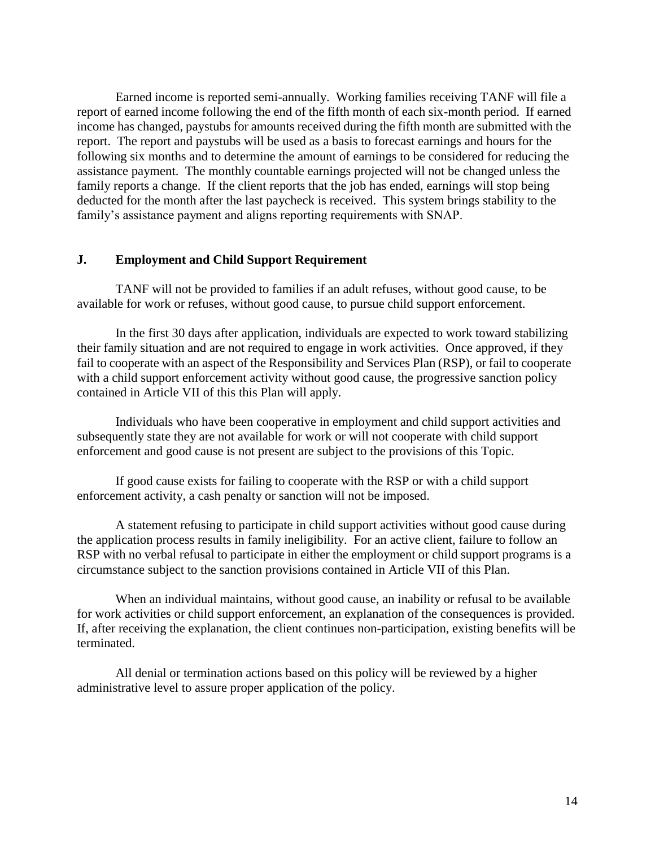Earned income is reported semi-annually. Working families receiving TANF will file a report of earned income following the end of the fifth month of each six-month period. If earned income has changed, paystubs for amounts received during the fifth month are submitted with the report. The report and paystubs will be used as a basis to forecast earnings and hours for the following six months and to determine the amount of earnings to be considered for reducing the assistance payment. The monthly countable earnings projected will not be changed unless the family reports a change. If the client reports that the job has ended, earnings will stop being deducted for the month after the last paycheck is received. This system brings stability to the family's assistance payment and aligns reporting requirements with SNAP.

#### **J. Employment and Child Support Requirement**

TANF will not be provided to families if an adult refuses, without good cause, to be available for work or refuses, without good cause, to pursue child support enforcement.

In the first 30 days after application, individuals are expected to work toward stabilizing their family situation and are not required to engage in work activities. Once approved, if they fail to cooperate with an aspect of the Responsibility and Services Plan (RSP), or fail to cooperate with a child support enforcement activity without good cause, the progressive sanction policy contained in Article VII of this this Plan will apply.

Individuals who have been cooperative in employment and child support activities and subsequently state they are not available for work or will not cooperate with child support enforcement and good cause is not present are subject to the provisions of this Topic.

If good cause exists for failing to cooperate with the RSP or with a child support enforcement activity, a cash penalty or sanction will not be imposed.

A statement refusing to participate in child support activities without good cause during the application process results in family ineligibility. For an active client, failure to follow an RSP with no verbal refusal to participate in either the employment or child support programs is a circumstance subject to the sanction provisions contained in Article VII of this Plan.

When an individual maintains, without good cause, an inability or refusal to be available for work activities or child support enforcement, an explanation of the consequences is provided. If, after receiving the explanation, the client continues non-participation, existing benefits will be terminated.

All denial or termination actions based on this policy will be reviewed by a higher administrative level to assure proper application of the policy.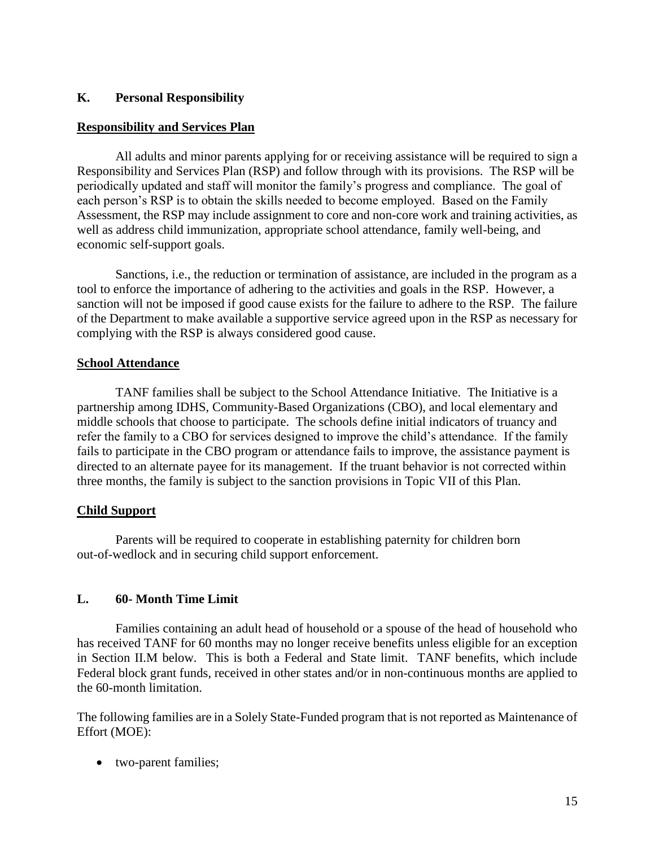## **K. Personal Responsibility**

## **Responsibility and Services Plan**

All adults and minor parents applying for or receiving assistance will be required to sign a Responsibility and Services Plan (RSP) and follow through with its provisions. The RSP will be periodically updated and staff will monitor the family's progress and compliance. The goal of each person's RSP is to obtain the skills needed to become employed. Based on the Family Assessment, the RSP may include assignment to core and non-core work and training activities, as well as address child immunization, appropriate school attendance, family well-being, and economic self-support goals.

Sanctions, i.e., the reduction or termination of assistance, are included in the program as a tool to enforce the importance of adhering to the activities and goals in the RSP. However, a sanction will not be imposed if good cause exists for the failure to adhere to the RSP. The failure of the Department to make available a supportive service agreed upon in the RSP as necessary for complying with the RSP is always considered good cause.

## **School Attendance**

TANF families shall be subject to the School Attendance Initiative. The Initiative is a partnership among IDHS, Community-Based Organizations (CBO), and local elementary and middle schools that choose to participate. The schools define initial indicators of truancy and refer the family to a CBO for services designed to improve the child's attendance. If the family fails to participate in the CBO program or attendance fails to improve, the assistance payment is directed to an alternate payee for its management. If the truant behavior is not corrected within three months, the family is subject to the sanction provisions in Topic VII of this Plan.

# **Child Support**

Parents will be required to cooperate in establishing paternity for children born out-of-wedlock and in securing child support enforcement.

# **L. 60- Month Time Limit**

Families containing an adult head of household or a spouse of the head of household who has received TANF for 60 months may no longer receive benefits unless eligible for an exception in Section II.M below. This is both a Federal and State limit. TANF benefits, which include Federal block grant funds, received in other states and/or in non-continuous months are applied to the 60-month limitation.

The following families are in a Solely State-Funded program that is not reported as Maintenance of Effort (MOE):

two-parent families;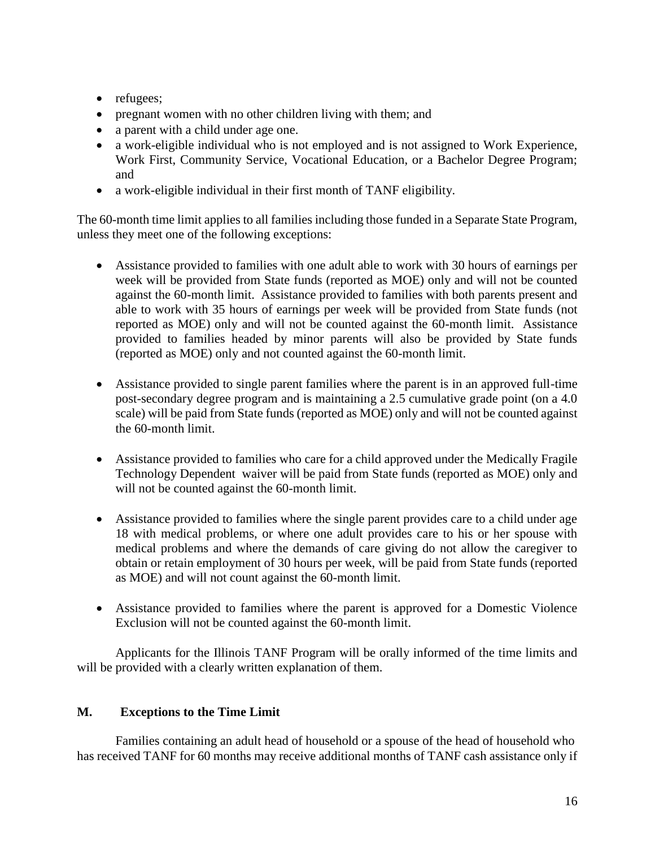- refugees;
- pregnant women with no other children living with them; and
- a parent with a child under age one.
- a work-eligible individual who is not employed and is not assigned to Work Experience, Work First, Community Service, Vocational Education, or a Bachelor Degree Program; and
- a work-eligible individual in their first month of TANF eligibility.

The 60-month time limit applies to all families including those funded in a Separate State Program, unless they meet one of the following exceptions:

- Assistance provided to families with one adult able to work with 30 hours of earnings per week will be provided from State funds (reported as MOE) only and will not be counted against the 60-month limit. Assistance provided to families with both parents present and able to work with 35 hours of earnings per week will be provided from State funds (not reported as MOE) only and will not be counted against the 60-month limit. Assistance provided to families headed by minor parents will also be provided by State funds (reported as MOE) only and not counted against the 60-month limit.
- Assistance provided to single parent families where the parent is in an approved full-time post-secondary degree program and is maintaining a 2.5 cumulative grade point (on a 4.0 scale) will be paid from State funds (reported as MOE) only and will not be counted against the 60-month limit.
- Assistance provided to families who care for a child approved under the Medically Fragile Technology Dependent waiver will be paid from State funds (reported as MOE) only and will not be counted against the 60-month limit.
- Assistance provided to families where the single parent provides care to a child under age 18 with medical problems, or where one adult provides care to his or her spouse with medical problems and where the demands of care giving do not allow the caregiver to obtain or retain employment of 30 hours per week, will be paid from State funds (reported as MOE) and will not count against the 60-month limit.
- Assistance provided to families where the parent is approved for a Domestic Violence Exclusion will not be counted against the 60-month limit.

Applicants for the Illinois TANF Program will be orally informed of the time limits and will be provided with a clearly written explanation of them.

# **M. Exceptions to the Time Limit**

Families containing an adult head of household or a spouse of the head of household who has received TANF for 60 months may receive additional months of TANF cash assistance only if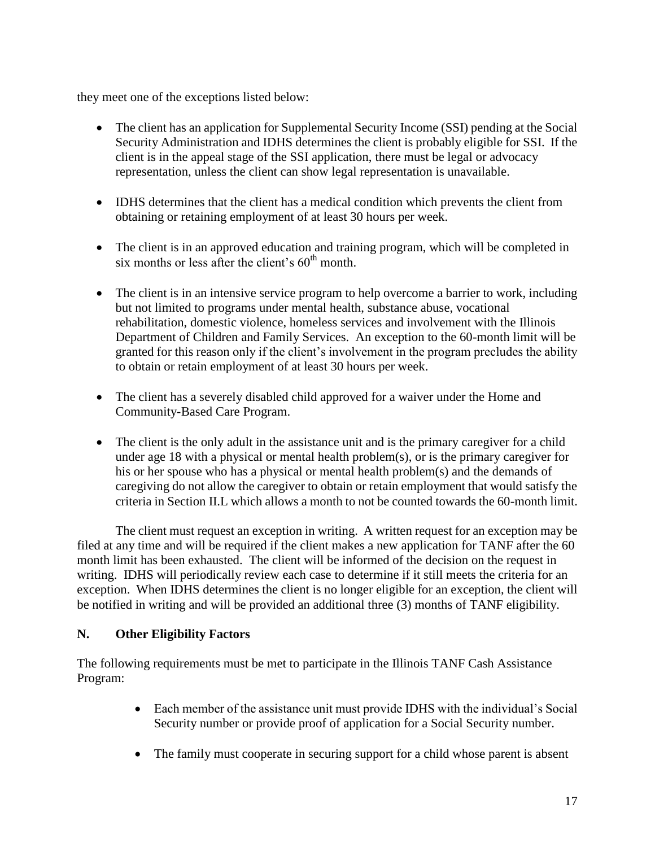they meet one of the exceptions listed below:

- The client has an application for Supplemental Security Income (SSI) pending at the Social Security Administration and IDHS determines the client is probably eligible for SSI. If the client is in the appeal stage of the SSI application, there must be legal or advocacy representation, unless the client can show legal representation is unavailable.
- IDHS determines that the client has a medical condition which prevents the client from obtaining or retaining employment of at least 30 hours per week.
- The client is in an approved education and training program, which will be completed in six months or less after the client's  $60<sup>th</sup>$  month.
- The client is in an intensive service program to help overcome a barrier to work, including but not limited to programs under mental health, substance abuse, vocational rehabilitation, domestic violence, homeless services and involvement with the Illinois Department of Children and Family Services. An exception to the 60-month limit will be granted for this reason only if the client's involvement in the program precludes the ability to obtain or retain employment of at least 30 hours per week.
- The client has a severely disabled child approved for a waiver under the Home and Community-Based Care Program.
- The client is the only adult in the assistance unit and is the primary caregiver for a child under age 18 with a physical or mental health problem(s), or is the primary caregiver for his or her spouse who has a physical or mental health problem(s) and the demands of caregiving do not allow the caregiver to obtain or retain employment that would satisfy the criteria in Section II.L which allows a month to not be counted towards the 60-month limit.

The client must request an exception in writing. A written request for an exception may be filed at any time and will be required if the client makes a new application for TANF after the 60 month limit has been exhausted. The client will be informed of the decision on the request in writing. IDHS will periodically review each case to determine if it still meets the criteria for an exception. When IDHS determines the client is no longer eligible for an exception, the client will be notified in writing and will be provided an additional three (3) months of TANF eligibility.

# **N. Other Eligibility Factors**

The following requirements must be met to participate in the Illinois TANF Cash Assistance Program:

- Each member of the assistance unit must provide IDHS with the individual's Social Security number or provide proof of application for a Social Security number.
- The family must cooperate in securing support for a child whose parent is absent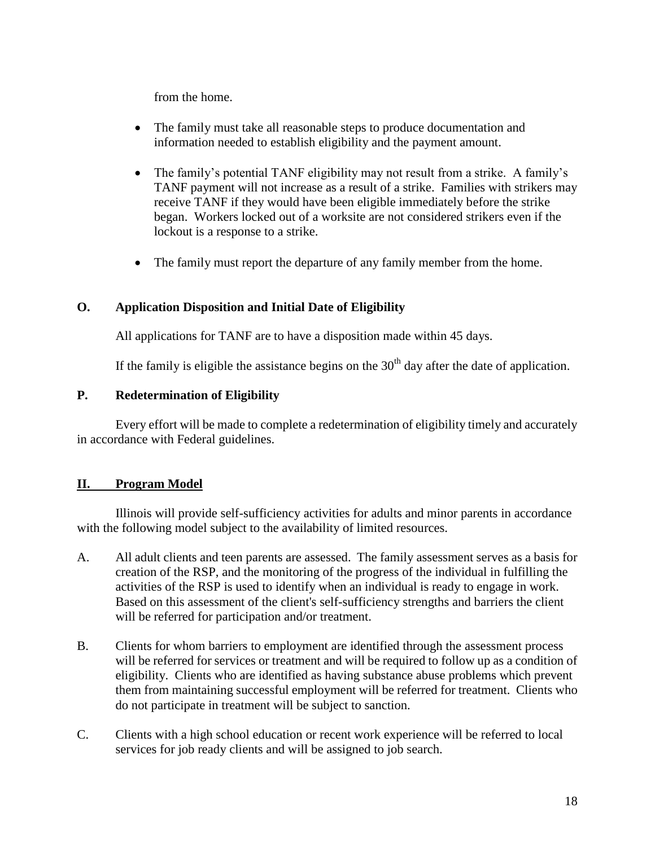from the home.

- The family must take all reasonable steps to produce documentation and information needed to establish eligibility and the payment amount.
- The family's potential TANF eligibility may not result from a strike. A family's TANF payment will not increase as a result of a strike. Families with strikers may receive TANF if they would have been eligible immediately before the strike began. Workers locked out of a worksite are not considered strikers even if the lockout is a response to a strike.
- The family must report the departure of any family member from the home.

# **O. Application Disposition and Initial Date of Eligibility**

All applications for TANF are to have a disposition made within 45 days.

If the family is eligible the assistance begins on the  $30<sup>th</sup>$  day after the date of application.

# **P. Redetermination of Eligibility**

Every effort will be made to complete a redetermination of eligibility timely and accurately in accordance with Federal guidelines.

# **II. Program Model**

Illinois will provide self-sufficiency activities for adults and minor parents in accordance with the following model subject to the availability of limited resources.

- A. All adult clients and teen parents are assessed. The family assessment serves as a basis for creation of the RSP, and the monitoring of the progress of the individual in fulfilling the activities of the RSP is used to identify when an individual is ready to engage in work. Based on this assessment of the client's self-sufficiency strengths and barriers the client will be referred for participation and/or treatment.
- B. Clients for whom barriers to employment are identified through the assessment process will be referred for services or treatment and will be required to follow up as a condition of eligibility. Clients who are identified as having substance abuse problems which prevent them from maintaining successful employment will be referred for treatment. Clients who do not participate in treatment will be subject to sanction.
- C. Clients with a high school education or recent work experience will be referred to local services for job ready clients and will be assigned to job search.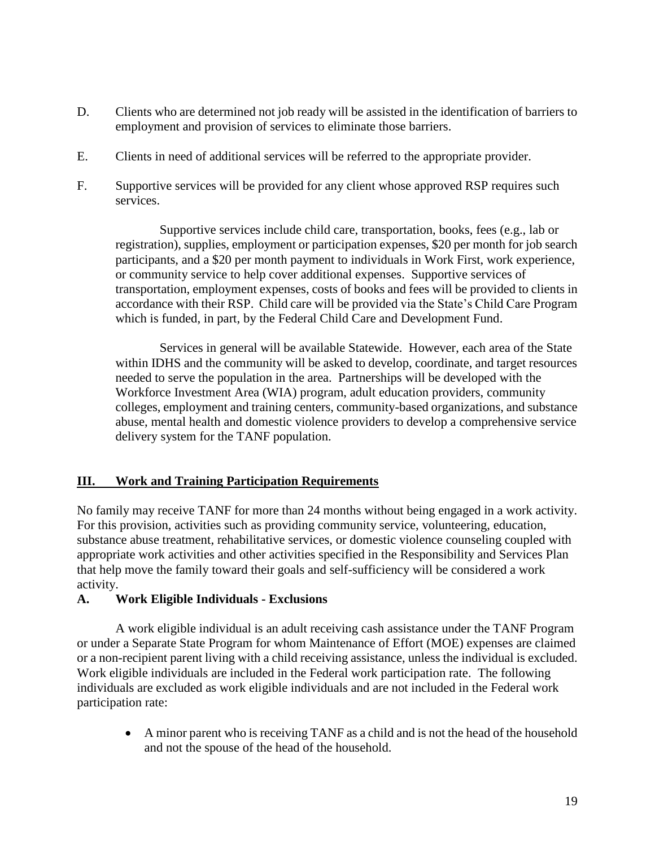- D. Clients who are determined not job ready will be assisted in the identification of barriers to employment and provision of services to eliminate those barriers.
- E. Clients in need of additional services will be referred to the appropriate provider.
- F. Supportive services will be provided for any client whose approved RSP requires such services.

Supportive services include child care, transportation, books, fees (e.g., lab or registration), supplies, employment or participation expenses, \$20 per month for job search participants, and a \$20 per month payment to individuals in Work First, work experience, or community service to help cover additional expenses. Supportive services of transportation, employment expenses, costs of books and fees will be provided to clients in accordance with their RSP. Child care will be provided via the State's Child Care Program which is funded, in part, by the Federal Child Care and Development Fund.

Services in general will be available Statewide. However, each area of the State within IDHS and the community will be asked to develop, coordinate, and target resources needed to serve the population in the area. Partnerships will be developed with the Workforce Investment Area (WIA) program, adult education providers, community colleges, employment and training centers, community-based organizations, and substance abuse, mental health and domestic violence providers to develop a comprehensive service delivery system for the TANF population.

# **III. Work and Training Participation Requirements**

No family may receive TANF for more than 24 months without being engaged in a work activity. For this provision, activities such as providing community service, volunteering, education, substance abuse treatment, rehabilitative services, or domestic violence counseling coupled with appropriate work activities and other activities specified in the Responsibility and Services Plan that help move the family toward their goals and self-sufficiency will be considered a work activity.

## **A. Work Eligible Individuals - Exclusions**

A work eligible individual is an adult receiving cash assistance under the TANF Program or under a Separate State Program for whom Maintenance of Effort (MOE) expenses are claimed or a non-recipient parent living with a child receiving assistance, unless the individual is excluded. Work eligible individuals are included in the Federal work participation rate. The following individuals are excluded as work eligible individuals and are not included in the Federal work participation rate:

 A minor parent who is receiving TANF as a child and is not the head of the household and not the spouse of the head of the household.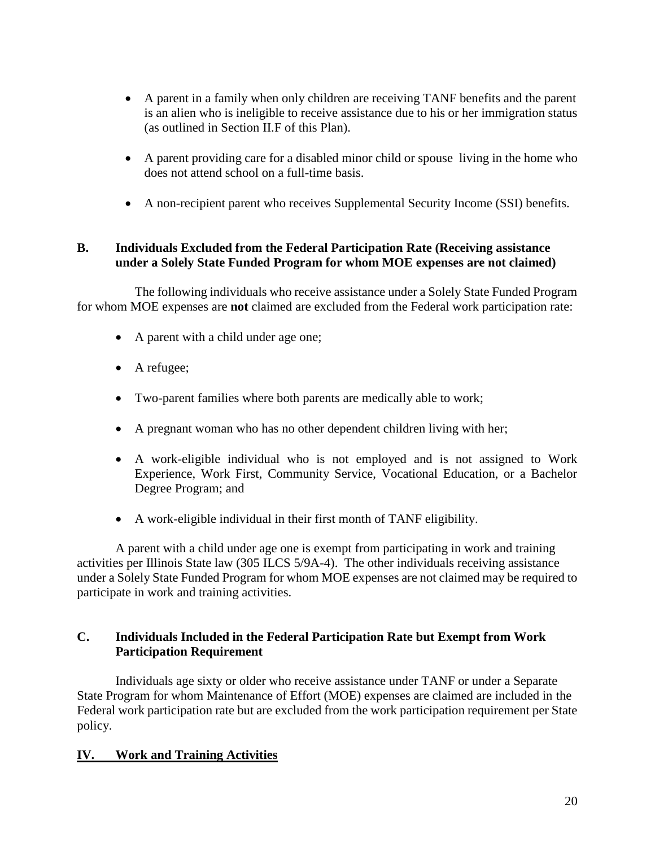- A parent in a family when only children are receiving TANF benefits and the parent is an alien who is ineligible to receive assistance due to his or her immigration status (as outlined in Section II.F of this Plan).
- A parent providing care for a disabled minor child or spouse living in the home who does not attend school on a full-time basis.
- A non-recipient parent who receives Supplemental Security Income (SSI) benefits.

# **B. Individuals Excluded from the Federal Participation Rate (Receiving assistance under a Solely State Funded Program for whom MOE expenses are not claimed)**

The following individuals who receive assistance under a Solely State Funded Program for whom MOE expenses are **not** claimed are excluded from the Federal work participation rate:

- A parent with a child under age one;
- A refugee;
- Two-parent families where both parents are medically able to work;
- A pregnant woman who has no other dependent children living with her;
- A work-eligible individual who is not employed and is not assigned to Work Experience, Work First, Community Service, Vocational Education, or a Bachelor Degree Program; and
- A work-eligible individual in their first month of TANF eligibility.

A parent with a child under age one is exempt from participating in work and training activities per Illinois State law (305 ILCS 5/9A-4). The other individuals receiving assistance under a Solely State Funded Program for whom MOE expenses are not claimed may be required to participate in work and training activities.

# **C. Individuals Included in the Federal Participation Rate but Exempt from Work Participation Requirement**

Individuals age sixty or older who receive assistance under TANF or under a Separate State Program for whom Maintenance of Effort (MOE) expenses are claimed are included in the Federal work participation rate but are excluded from the work participation requirement per State policy.

# **IV. Work and Training Activities**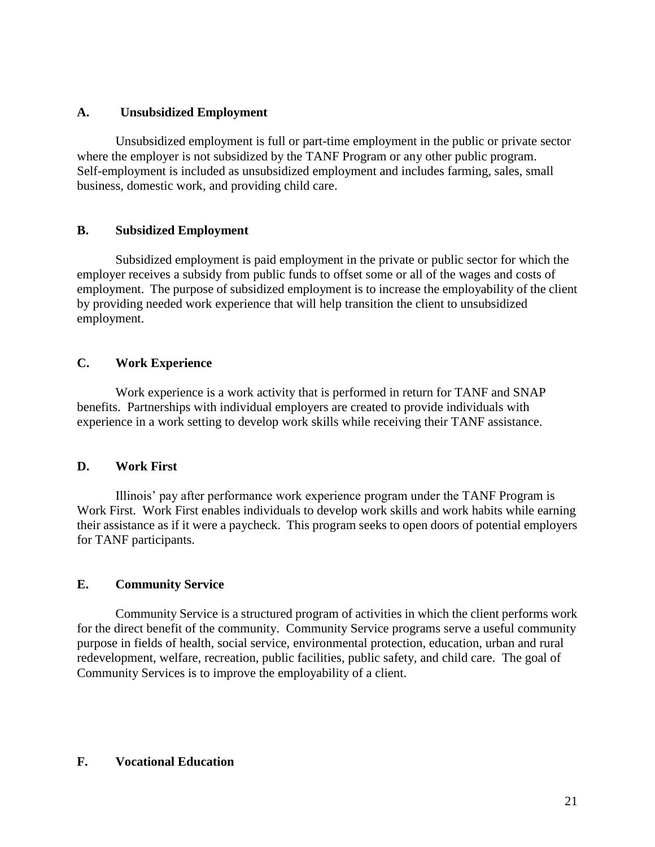## **A. Unsubsidized Employment**

Unsubsidized employment is full or part-time employment in the public or private sector where the employer is not subsidized by the TANF Program or any other public program. Self-employment is included as unsubsidized employment and includes farming, sales, small business, domestic work, and providing child care.

## **B. Subsidized Employment**

Subsidized employment is paid employment in the private or public sector for which the employer receives a subsidy from public funds to offset some or all of the wages and costs of employment. The purpose of subsidized employment is to increase the employability of the client by providing needed work experience that will help transition the client to unsubsidized employment.

## **C. Work Experience**

Work experience is a work activity that is performed in return for TANF and SNAP benefits. Partnerships with individual employers are created to provide individuals with experience in a work setting to develop work skills while receiving their TANF assistance.

# **D. Work First**

Illinois' pay after performance work experience program under the TANF Program is Work First. Work First enables individuals to develop work skills and work habits while earning their assistance as if it were a paycheck. This program seeks to open doors of potential employers for TANF participants.

# **E. Community Service**

Community Service is a structured program of activities in which the client performs work for the direct benefit of the community. Community Service programs serve a useful community purpose in fields of health, social service, environmental protection, education, urban and rural redevelopment, welfare, recreation, public facilities, public safety, and child care. The goal of Community Services is to improve the employability of a client.

## **F. Vocational Education**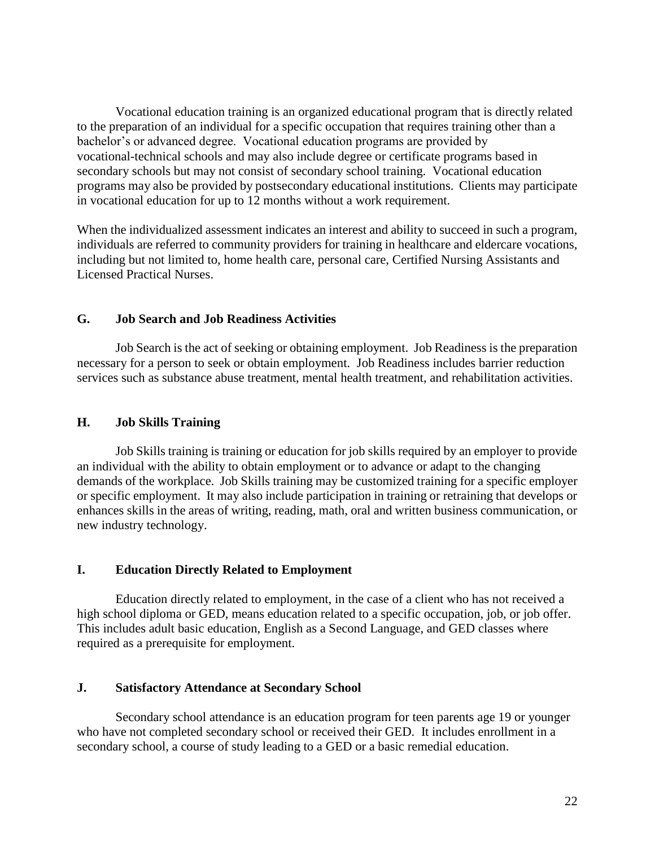Vocational education training is an organized educational program that is directly related to the preparation of an individual for a specific occupation that requires training other than a bachelor's or advanced degree. Vocational education programs are provided by vocational-technical schools and may also include degree or certificate programs based in secondary schools but may not consist of secondary school training. Vocational education programs may also be provided by postsecondary educational institutions. Clients may participate in vocational education for up to 12 months without a work requirement.

When the individualized assessment indicates an interest and ability to succeed in such a program, individuals are referred to community providers for training in healthcare and eldercare vocations, including but not limited to, home health care, personal care, Certified Nursing Assistants and Licensed Practical Nurses.

## **G. Job Search and Job Readiness Activities**

Job Search is the act of seeking or obtaining employment. Job Readiness is the preparation necessary for a person to seek or obtain employment. Job Readiness includes barrier reduction services such as substance abuse treatment, mental health treatment, and rehabilitation activities.

## **H. Job Skills Training**

Job Skills training is training or education for job skills required by an employer to provide an individual with the ability to obtain employment or to advance or adapt to the changing demands of the workplace. Job Skills training may be customized training for a specific employer or specific employment. It may also include participation in training or retraining that develops or enhances skills in the areas of writing, reading, math, oral and written business communication, or new industry technology.

## **I. Education Directly Related to Employment**

Education directly related to employment, in the case of a client who has not received a high school diploma or GED, means education related to a specific occupation, job, or job offer. This includes adult basic education, English as a Second Language, and GED classes where required as a prerequisite for employment.

## **J. Satisfactory Attendance at Secondary School**

Secondary school attendance is an education program for teen parents age 19 or younger who have not completed secondary school or received their GED. It includes enrollment in a secondary school, a course of study leading to a GED or a basic remedial education.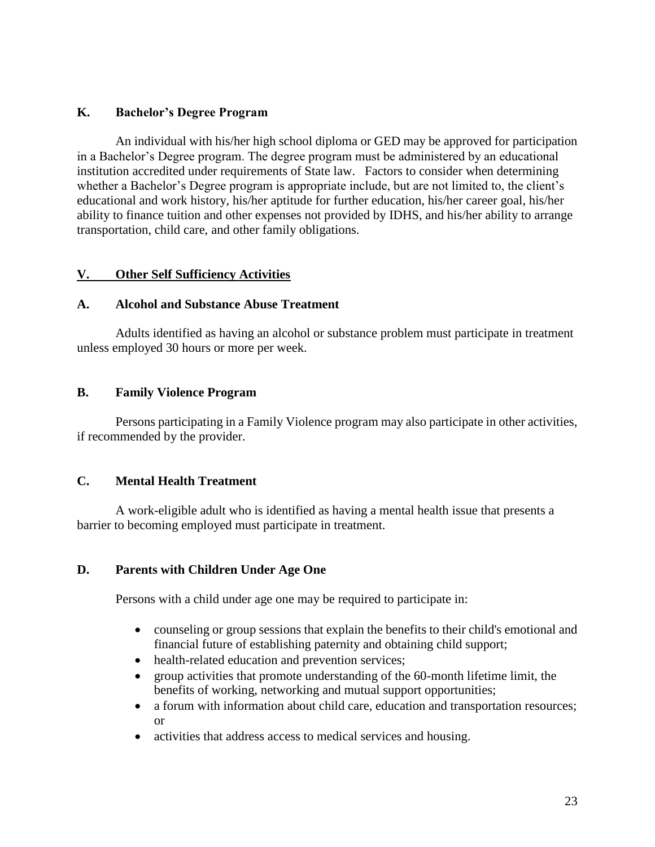## **K. Bachelor's Degree Program**

An individual with his/her high school diploma or GED may be approved for participation in a Bachelor's Degree program. The degree program must be administered by an educational institution accredited under requirements of State law. Factors to consider when determining whether a Bachelor's Degree program is appropriate include, but are not limited to, the client's educational and work history, his/her aptitude for further education, his/her career goal, his/her ability to finance tuition and other expenses not provided by IDHS, and his/her ability to arrange transportation, child care, and other family obligations.

## **V. Other Self Sufficiency Activities**

## **A. Alcohol and Substance Abuse Treatment**

Adults identified as having an alcohol or substance problem must participate in treatment unless employed 30 hours or more per week.

## **B. Family Violence Program**

Persons participating in a Family Violence program may also participate in other activities, if recommended by the provider.

# **C. Mental Health Treatment**

A work-eligible adult who is identified as having a mental health issue that presents a barrier to becoming employed must participate in treatment.

# **D. Parents with Children Under Age One**

Persons with a child under age one may be required to participate in:

- counseling or group sessions that explain the benefits to their child's emotional and financial future of establishing paternity and obtaining child support;
- health-related education and prevention services;
- group activities that promote understanding of the 60-month lifetime limit, the benefits of working, networking and mutual support opportunities;
- a forum with information about child care, education and transportation resources; or
- activities that address access to medical services and housing.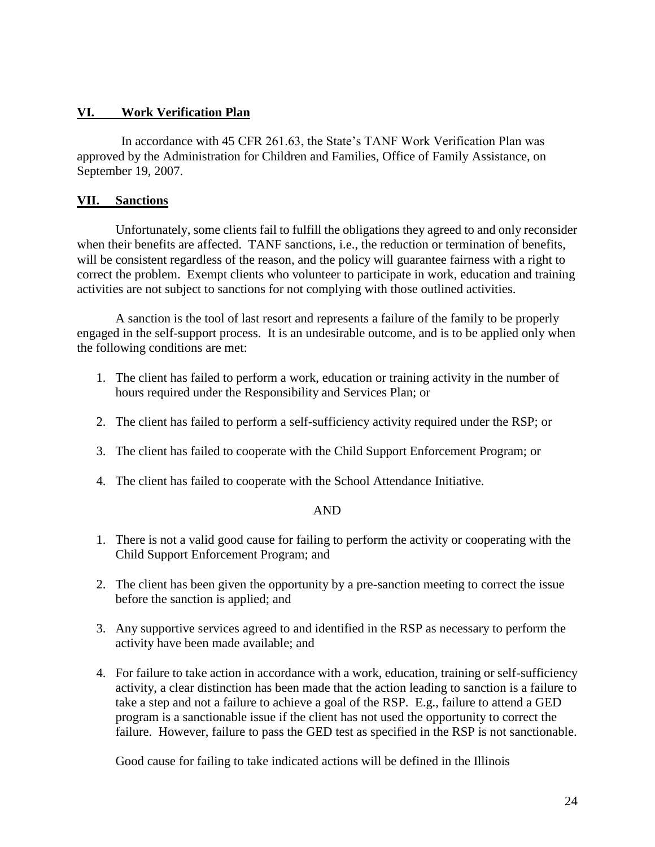## **VI. Work Verification Plan**

In accordance with 45 CFR 261.63, the State's TANF Work Verification Plan was approved by the Administration for Children and Families, Office of Family Assistance, on September 19, 2007.

## **VII. Sanctions**

Unfortunately, some clients fail to fulfill the obligations they agreed to and only reconsider when their benefits are affected. TANF sanctions, i.e., the reduction or termination of benefits, will be consistent regardless of the reason, and the policy will guarantee fairness with a right to correct the problem. Exempt clients who volunteer to participate in work, education and training activities are not subject to sanctions for not complying with those outlined activities.

A sanction is the tool of last resort and represents a failure of the family to be properly engaged in the self-support process. It is an undesirable outcome, and is to be applied only when the following conditions are met:

- 1. The client has failed to perform a work, education or training activity in the number of hours required under the Responsibility and Services Plan; or
- 2. The client has failed to perform a self-sufficiency activity required under the RSP; or
- 3. The client has failed to cooperate with the Child Support Enforcement Program; or
- 4. The client has failed to cooperate with the School Attendance Initiative.

## AND

- 1. There is not a valid good cause for failing to perform the activity or cooperating with the Child Support Enforcement Program; and
- 2. The client has been given the opportunity by a pre-sanction meeting to correct the issue before the sanction is applied; and
- 3. Any supportive services agreed to and identified in the RSP as necessary to perform the activity have been made available; and
- 4. For failure to take action in accordance with a work, education, training or self-sufficiency activity, a clear distinction has been made that the action leading to sanction is a failure to take a step and not a failure to achieve a goal of the RSP. E.g., failure to attend a GED program is a sanctionable issue if the client has not used the opportunity to correct the failure. However, failure to pass the GED test as specified in the RSP is not sanctionable.

Good cause for failing to take indicated actions will be defined in the Illinois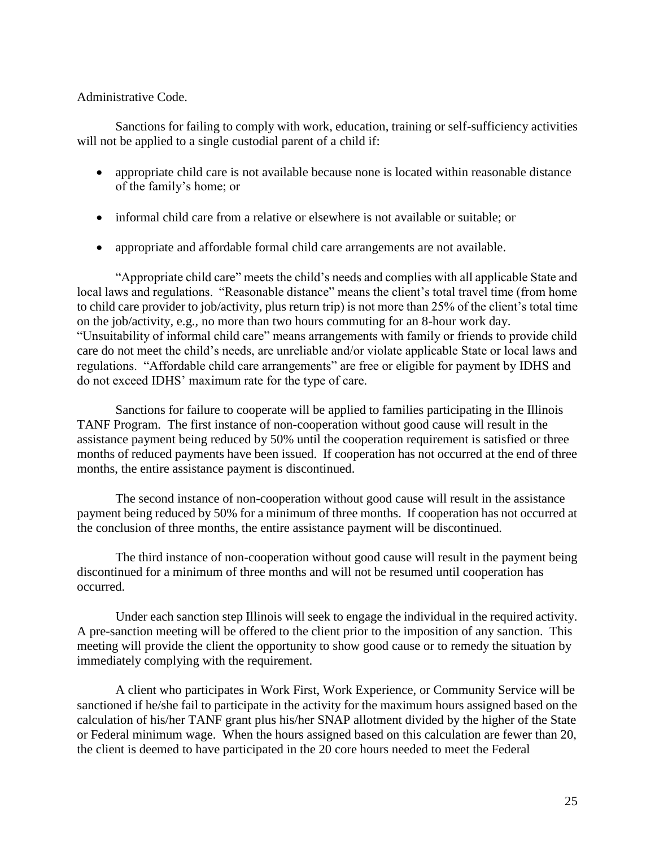Administrative Code.

Sanctions for failing to comply with work, education, training or self-sufficiency activities will not be applied to a single custodial parent of a child if:

- appropriate child care is not available because none is located within reasonable distance of the family's home; or
- informal child care from a relative or elsewhere is not available or suitable; or
- appropriate and affordable formal child care arrangements are not available.

"Appropriate child care" meets the child's needs and complies with all applicable State and local laws and regulations. "Reasonable distance" means the client's total travel time (from home to child care provider to job/activity, plus return trip) is not more than 25% of the client's total time on the job/activity, e.g., no more than two hours commuting for an 8-hour work day. "Unsuitability of informal child care" means arrangements with family or friends to provide child care do not meet the child's needs, are unreliable and/or violate applicable State or local laws and regulations. "Affordable child care arrangements" are free or eligible for payment by IDHS and do not exceed IDHS' maximum rate for the type of care.

Sanctions for failure to cooperate will be applied to families participating in the Illinois TANF Program. The first instance of non-cooperation without good cause will result in the assistance payment being reduced by 50% until the cooperation requirement is satisfied or three months of reduced payments have been issued. If cooperation has not occurred at the end of three months, the entire assistance payment is discontinued.

The second instance of non-cooperation without good cause will result in the assistance payment being reduced by 50% for a minimum of three months. If cooperation has not occurred at the conclusion of three months, the entire assistance payment will be discontinued.

The third instance of non-cooperation without good cause will result in the payment being discontinued for a minimum of three months and will not be resumed until cooperation has occurred.

Under each sanction step Illinois will seek to engage the individual in the required activity. A pre-sanction meeting will be offered to the client prior to the imposition of any sanction. This meeting will provide the client the opportunity to show good cause or to remedy the situation by immediately complying with the requirement.

A client who participates in Work First, Work Experience, or Community Service will be sanctioned if he/she fail to participate in the activity for the maximum hours assigned based on the calculation of his/her TANF grant plus his/her SNAP allotment divided by the higher of the State or Federal minimum wage. When the hours assigned based on this calculation are fewer than 20, the client is deemed to have participated in the 20 core hours needed to meet the Federal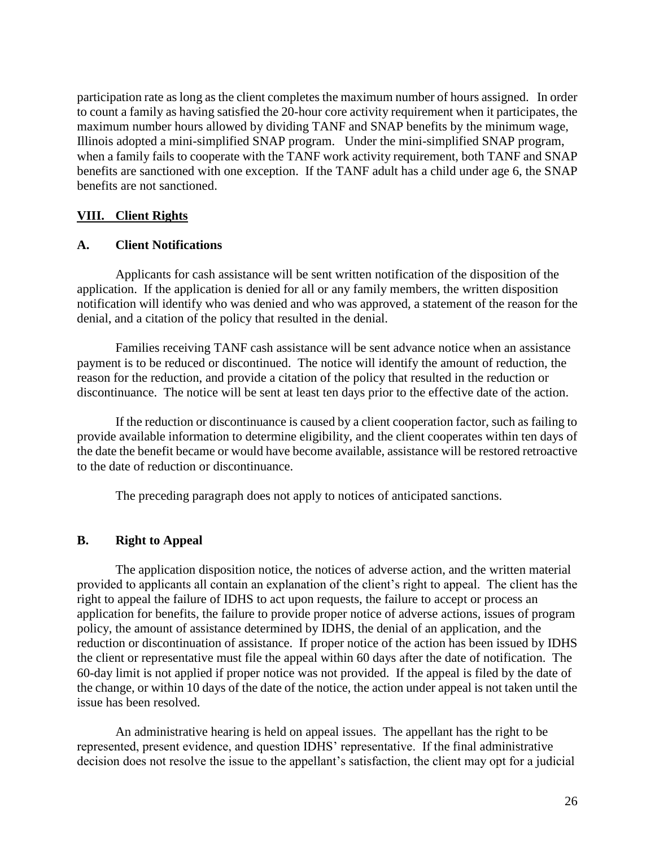participation rate as long as the client completes the maximum number of hours assigned. In order to count a family as having satisfied the 20-hour core activity requirement when it participates, the maximum number hours allowed by dividing TANF and SNAP benefits by the minimum wage, Illinois adopted a mini-simplified SNAP program. Under the mini-simplified SNAP program, when a family fails to cooperate with the TANF work activity requirement, both TANF and SNAP benefits are sanctioned with one exception. If the TANF adult has a child under age 6, the SNAP benefits are not sanctioned.

# **VIII. Client Rights**

# **A. Client Notifications**

Applicants for cash assistance will be sent written notification of the disposition of the application. If the application is denied for all or any family members, the written disposition notification will identify who was denied and who was approved, a statement of the reason for the denial, and a citation of the policy that resulted in the denial.

Families receiving TANF cash assistance will be sent advance notice when an assistance payment is to be reduced or discontinued. The notice will identify the amount of reduction, the reason for the reduction, and provide a citation of the policy that resulted in the reduction or discontinuance. The notice will be sent at least ten days prior to the effective date of the action.

If the reduction or discontinuance is caused by a client cooperation factor, such as failing to provide available information to determine eligibility, and the client cooperates within ten days of the date the benefit became or would have become available, assistance will be restored retroactive to the date of reduction or discontinuance.

The preceding paragraph does not apply to notices of anticipated sanctions.

# **B. Right to Appeal**

The application disposition notice, the notices of adverse action, and the written material provided to applicants all contain an explanation of the client's right to appeal. The client has the right to appeal the failure of IDHS to act upon requests, the failure to accept or process an application for benefits, the failure to provide proper notice of adverse actions, issues of program policy, the amount of assistance determined by IDHS, the denial of an application, and the reduction or discontinuation of assistance. If proper notice of the action has been issued by IDHS the client or representative must file the appeal within 60 days after the date of notification. The 60-day limit is not applied if proper notice was not provided. If the appeal is filed by the date of the change, or within 10 days of the date of the notice, the action under appeal is not taken until the issue has been resolved.

An administrative hearing is held on appeal issues. The appellant has the right to be represented, present evidence, and question IDHS' representative. If the final administrative decision does not resolve the issue to the appellant's satisfaction, the client may opt for a judicial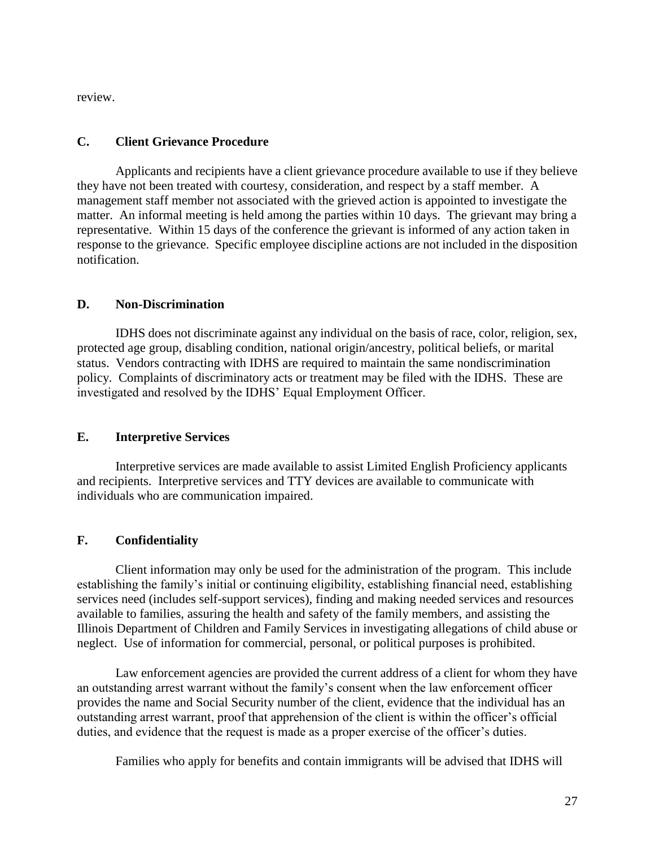review.

## **C. Client Grievance Procedure**

Applicants and recipients have a client grievance procedure available to use if they believe they have not been treated with courtesy, consideration, and respect by a staff member. A management staff member not associated with the grieved action is appointed to investigate the matter. An informal meeting is held among the parties within 10 days. The grievant may bring a representative. Within 15 days of the conference the grievant is informed of any action taken in response to the grievance. Specific employee discipline actions are not included in the disposition notification.

## **D. Non-Discrimination**

IDHS does not discriminate against any individual on the basis of race, color, religion, sex, protected age group, disabling condition, national origin/ancestry, political beliefs, or marital status. Vendors contracting with IDHS are required to maintain the same nondiscrimination policy. Complaints of discriminatory acts or treatment may be filed with the IDHS. These are investigated and resolved by the IDHS' Equal Employment Officer.

## **E. Interpretive Services**

Interpretive services are made available to assist Limited English Proficiency applicants and recipients. Interpretive services and TTY devices are available to communicate with individuals who are communication impaired.

# **F. Confidentiality**

Client information may only be used for the administration of the program. This include establishing the family's initial or continuing eligibility, establishing financial need, establishing services need (includes self-support services), finding and making needed services and resources available to families, assuring the health and safety of the family members, and assisting the Illinois Department of Children and Family Services in investigating allegations of child abuse or neglect. Use of information for commercial, personal, or political purposes is prohibited.

Law enforcement agencies are provided the current address of a client for whom they have an outstanding arrest warrant without the family's consent when the law enforcement officer provides the name and Social Security number of the client, evidence that the individual has an outstanding arrest warrant, proof that apprehension of the client is within the officer's official duties, and evidence that the request is made as a proper exercise of the officer's duties.

Families who apply for benefits and contain immigrants will be advised that IDHS will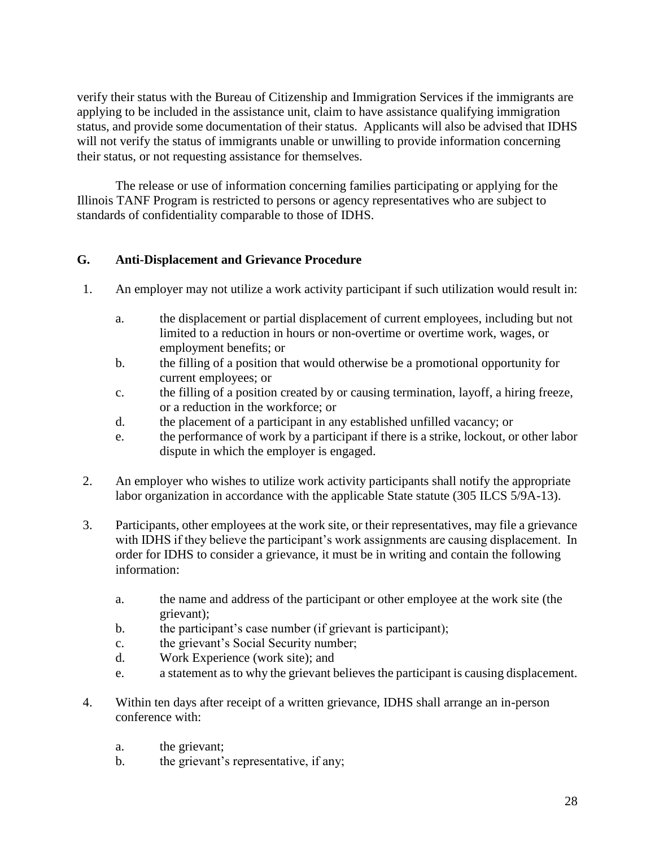verify their status with the Bureau of Citizenship and Immigration Services if the immigrants are applying to be included in the assistance unit, claim to have assistance qualifying immigration status, and provide some documentation of their status. Applicants will also be advised that IDHS will not verify the status of immigrants unable or unwilling to provide information concerning their status, or not requesting assistance for themselves.

The release or use of information concerning families participating or applying for the Illinois TANF Program is restricted to persons or agency representatives who are subject to standards of confidentiality comparable to those of IDHS.

# **G. Anti-Displacement and Grievance Procedure**

- 1. An employer may not utilize a work activity participant if such utilization would result in:
	- a. the displacement or partial displacement of current employees, including but not limited to a reduction in hours or non-overtime or overtime work, wages, or employment benefits; or
	- b. the filling of a position that would otherwise be a promotional opportunity for current employees; or
	- c. the filling of a position created by or causing termination, layoff, a hiring freeze, or a reduction in the workforce; or
	- d. the placement of a participant in any established unfilled vacancy; or
	- e. the performance of work by a participant if there is a strike, lockout, or other labor dispute in which the employer is engaged.
- 2. An employer who wishes to utilize work activity participants shall notify the appropriate labor organization in accordance with the applicable State statute (305 ILCS 5/9A-13).
- 3. Participants, other employees at the work site, or their representatives, may file a grievance with IDHS if they believe the participant's work assignments are causing displacement. In order for IDHS to consider a grievance, it must be in writing and contain the following information:
	- a. the name and address of the participant or other employee at the work site (the grievant);
	- b. the participant's case number (if grievant is participant);
	- c. the grievant's Social Security number;
	- d. Work Experience (work site); and
	- e. a statement as to why the grievant believes the participant is causing displacement.
- 4. Within ten days after receipt of a written grievance, IDHS shall arrange an in-person conference with:
	- a. the grievant;
	- b. the grievant's representative, if any;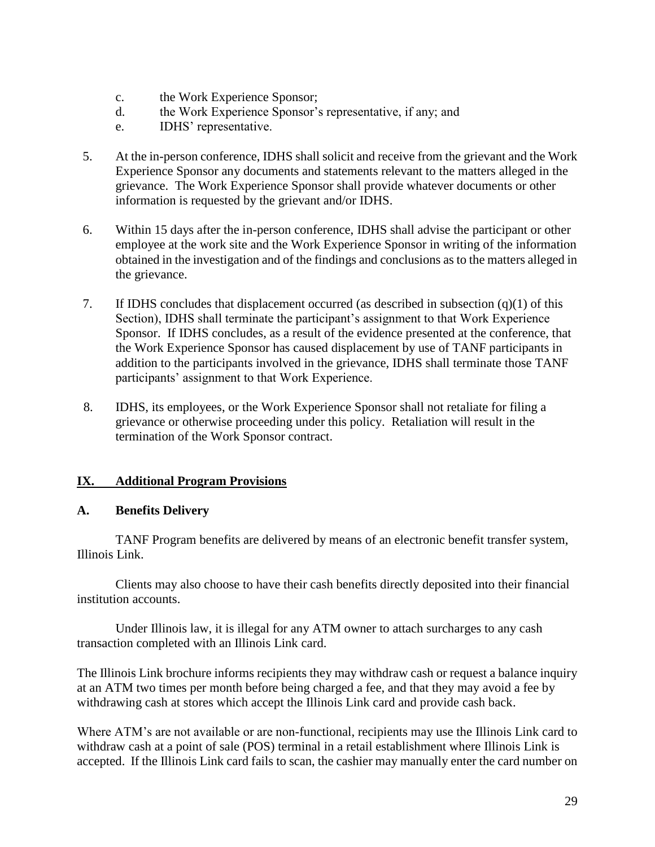- c. the Work Experience Sponsor;
- d. the Work Experience Sponsor's representative, if any; and
- e. IDHS' representative.
- 5. At the in-person conference, IDHS shall solicit and receive from the grievant and the Work Experience Sponsor any documents and statements relevant to the matters alleged in the grievance. The Work Experience Sponsor shall provide whatever documents or other information is requested by the grievant and/or IDHS.
- 6. Within 15 days after the in-person conference, IDHS shall advise the participant or other employee at the work site and the Work Experience Sponsor in writing of the information obtained in the investigation and of the findings and conclusions as to the matters alleged in the grievance.
- 7. If IDHS concludes that displacement occurred (as described in subsection (q)(1) of this Section), IDHS shall terminate the participant's assignment to that Work Experience Sponsor. If IDHS concludes, as a result of the evidence presented at the conference, that the Work Experience Sponsor has caused displacement by use of TANF participants in addition to the participants involved in the grievance, IDHS shall terminate those TANF participants' assignment to that Work Experience.
- 8. IDHS, its employees, or the Work Experience Sponsor shall not retaliate for filing a grievance or otherwise proceeding under this policy. Retaliation will result in the termination of the Work Sponsor contract.

# **IX. Additional Program Provisions**

## **A. Benefits Delivery**

TANF Program benefits are delivered by means of an electronic benefit transfer system, Illinois Link.

Clients may also choose to have their cash benefits directly deposited into their financial institution accounts.

Under Illinois law, it is illegal for any ATM owner to attach surcharges to any cash transaction completed with an Illinois Link card.

The Illinois Link brochure informs recipients they may withdraw cash or request a balance inquiry at an ATM two times per month before being charged a fee, and that they may avoid a fee by withdrawing cash at stores which accept the Illinois Link card and provide cash back.

Where ATM's are not available or are non-functional, recipients may use the Illinois Link card to withdraw cash at a point of sale (POS) terminal in a retail establishment where Illinois Link is accepted. If the Illinois Link card fails to scan, the cashier may manually enter the card number on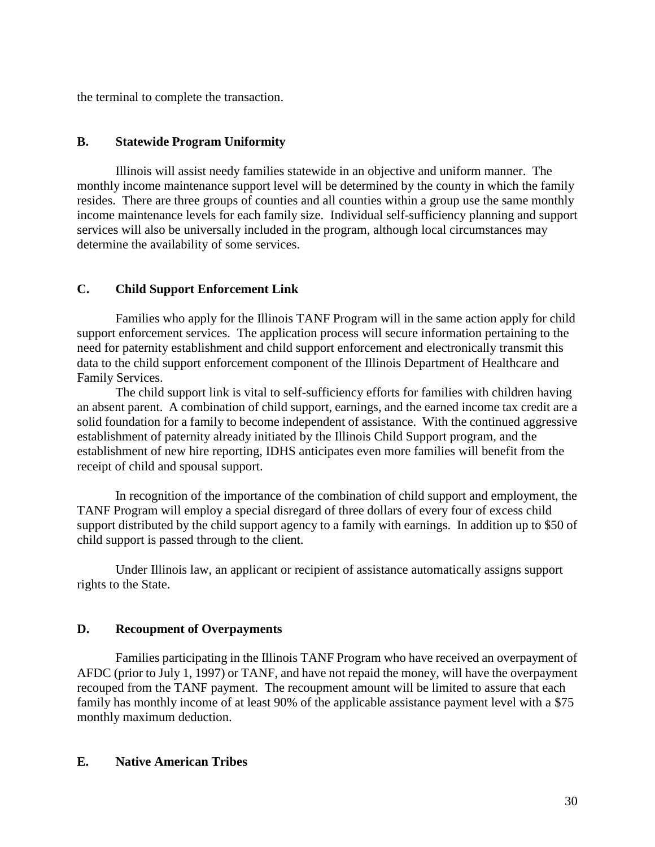the terminal to complete the transaction.

#### **B. Statewide Program Uniformity**

Illinois will assist needy families statewide in an objective and uniform manner. The monthly income maintenance support level will be determined by the county in which the family resides. There are three groups of counties and all counties within a group use the same monthly income maintenance levels for each family size. Individual self-sufficiency planning and support services will also be universally included in the program, although local circumstances may determine the availability of some services.

## **C. Child Support Enforcement Link**

Families who apply for the Illinois TANF Program will in the same action apply for child support enforcement services. The application process will secure information pertaining to the need for paternity establishment and child support enforcement and electronically transmit this data to the child support enforcement component of the Illinois Department of Healthcare and Family Services.

The child support link is vital to self-sufficiency efforts for families with children having an absent parent. A combination of child support, earnings, and the earned income tax credit are a solid foundation for a family to become independent of assistance. With the continued aggressive establishment of paternity already initiated by the Illinois Child Support program, and the establishment of new hire reporting, IDHS anticipates even more families will benefit from the receipt of child and spousal support.

In recognition of the importance of the combination of child support and employment, the TANF Program will employ a special disregard of three dollars of every four of excess child support distributed by the child support agency to a family with earnings. In addition up to \$50 of child support is passed through to the client.

Under Illinois law, an applicant or recipient of assistance automatically assigns support rights to the State.

## **D. Recoupment of Overpayments**

Families participating in the Illinois TANF Program who have received an overpayment of AFDC (prior to July 1, 1997) or TANF, and have not repaid the money, will have the overpayment recouped from the TANF payment. The recoupment amount will be limited to assure that each family has monthly income of at least 90% of the applicable assistance payment level with a \$75 monthly maximum deduction.

## **E. Native American Tribes**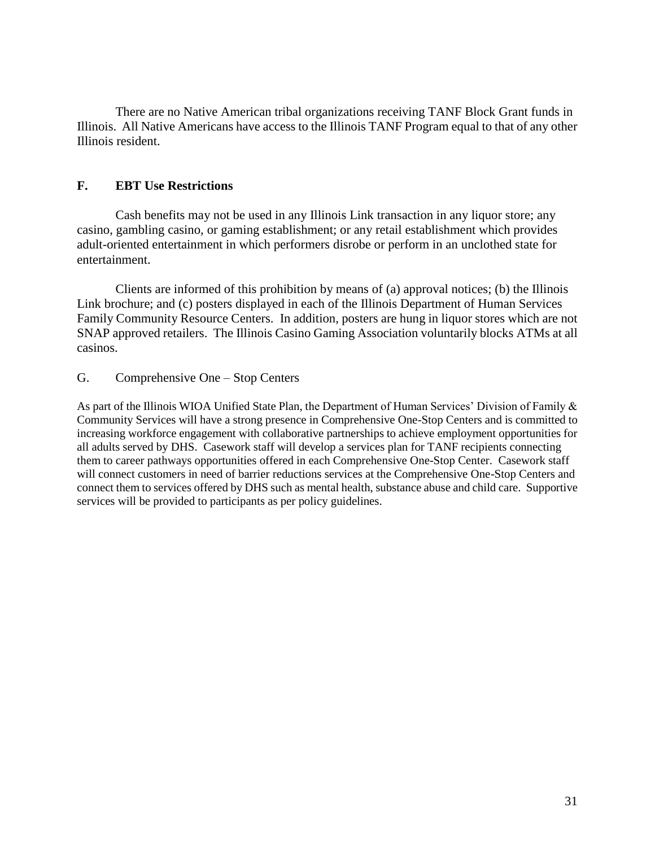There are no Native American tribal organizations receiving TANF Block Grant funds in Illinois. All Native Americans have access to the Illinois TANF Program equal to that of any other Illinois resident.

## **F. EBT Use Restrictions**

Cash benefits may not be used in any Illinois Link transaction in any liquor store; any casino, gambling casino, or gaming establishment; or any retail establishment which provides adult-oriented entertainment in which performers disrobe or perform in an unclothed state for entertainment.

Clients are informed of this prohibition by means of (a) approval notices; (b) the Illinois Link brochure; and (c) posters displayed in each of the Illinois Department of Human Services Family Community Resource Centers. In addition, posters are hung in liquor stores which are not SNAP approved retailers. The Illinois Casino Gaming Association voluntarily blocks ATMs at all casinos.

## G. Comprehensive One – Stop Centers

As part of the Illinois WIOA Unified State Plan, the Department of Human Services' Division of Family & Community Services will have a strong presence in Comprehensive One-Stop Centers and is committed to increasing workforce engagement with collaborative partnerships to achieve employment opportunities for all adults served by DHS. Casework staff will develop a services plan for TANF recipients connecting them to career pathways opportunities offered in each Comprehensive One-Stop Center. Casework staff will connect customers in need of barrier reductions services at the Comprehensive One-Stop Centers and connect them to services offered by DHS such as mental health, substance abuse and child care. Supportive services will be provided to participants as per policy guidelines.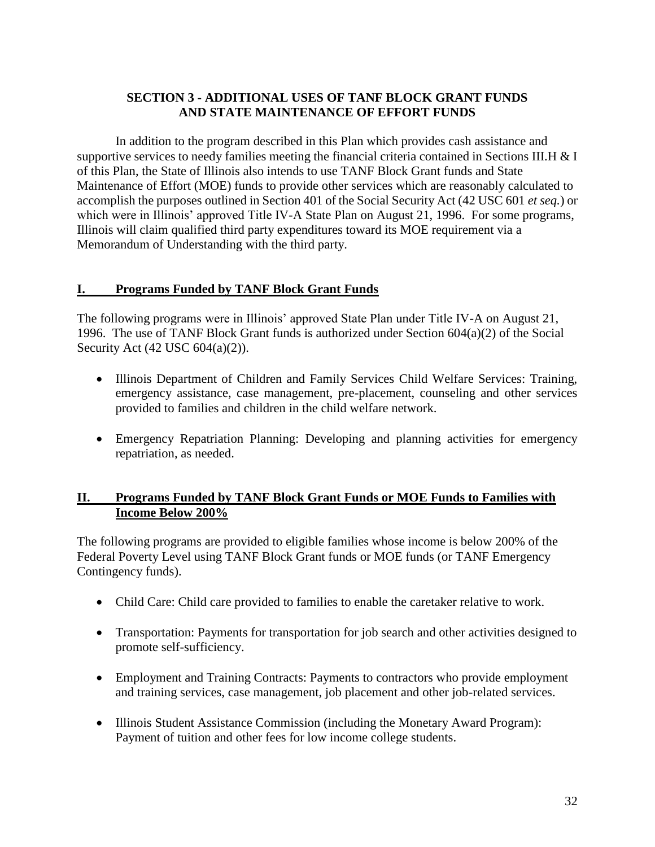# **SECTION 3 - ADDITIONAL USES OF TANF BLOCK GRANT FUNDS AND STATE MAINTENANCE OF EFFORT FUNDS**

In addition to the program described in this Plan which provides cash assistance and supportive services to needy families meeting the financial criteria contained in Sections III. H & I of this Plan, the State of Illinois also intends to use TANF Block Grant funds and State Maintenance of Effort (MOE) funds to provide other services which are reasonably calculated to accomplish the purposes outlined in Section 401 of the Social Security Act (42 USC 601 *et seq.*) or which were in Illinois' approved Title IV-A State Plan on August 21, 1996. For some programs, Illinois will claim qualified third party expenditures toward its MOE requirement via a Memorandum of Understanding with the third party.

## **I. Programs Funded by TANF Block Grant Funds**

The following programs were in Illinois' approved State Plan under Title IV-A on August 21, 1996. The use of TANF Block Grant funds is authorized under Section 604(a)(2) of the Social Security Act (42 USC 604(a)(2)).

- Illinois Department of Children and Family Services Child Welfare Services: Training, emergency assistance, case management, pre-placement, counseling and other services provided to families and children in the child welfare network.
- Emergency Repatriation Planning: Developing and planning activities for emergency repatriation, as needed.

# **II. Programs Funded by TANF Block Grant Funds or MOE Funds to Families with Income Below 200%**

The following programs are provided to eligible families whose income is below 200% of the Federal Poverty Level using TANF Block Grant funds or MOE funds (or TANF Emergency Contingency funds).

- Child Care: Child care provided to families to enable the caretaker relative to work.
- Transportation: Payments for transportation for job search and other activities designed to promote self-sufficiency.
- Employment and Training Contracts: Payments to contractors who provide employment and training services, case management, job placement and other job-related services.
- Illinois Student Assistance Commission (including the Monetary Award Program): Payment of tuition and other fees for low income college students.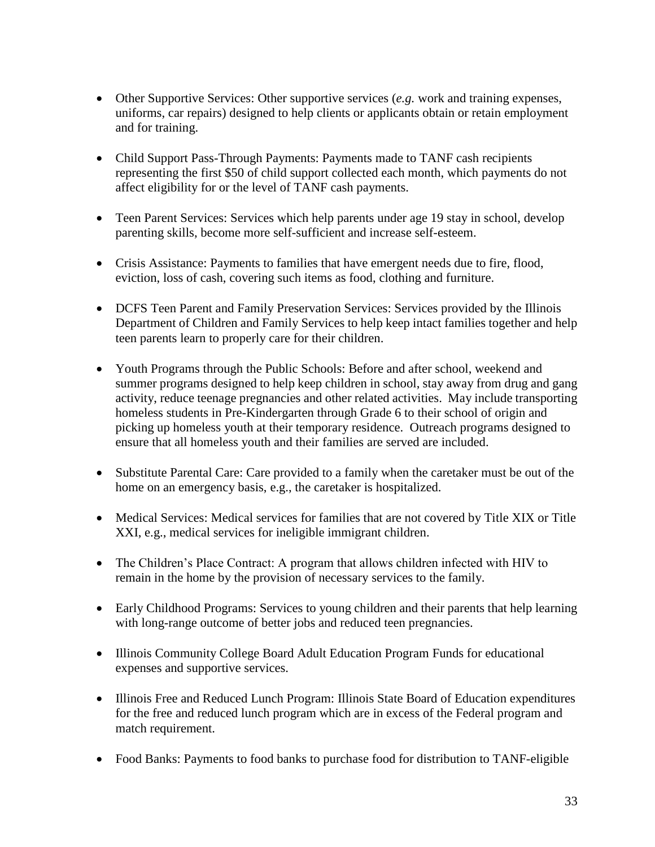- Other Supportive Services: Other supportive services (*e.g.* work and training expenses, uniforms, car repairs) designed to help clients or applicants obtain or retain employment and for training.
- Child Support Pass-Through Payments: Payments made to TANF cash recipients representing the first \$50 of child support collected each month, which payments do not affect eligibility for or the level of TANF cash payments.
- Teen Parent Services: Services which help parents under age 19 stay in school, develop parenting skills, become more self-sufficient and increase self-esteem.
- Crisis Assistance: Payments to families that have emergent needs due to fire, flood, eviction, loss of cash, covering such items as food, clothing and furniture.
- DCFS Teen Parent and Family Preservation Services: Services provided by the Illinois Department of Children and Family Services to help keep intact families together and help teen parents learn to properly care for their children.
- Youth Programs through the Public Schools: Before and after school, weekend and summer programs designed to help keep children in school, stay away from drug and gang activity, reduce teenage pregnancies and other related activities. May include transporting homeless students in Pre-Kindergarten through Grade 6 to their school of origin and picking up homeless youth at their temporary residence. Outreach programs designed to ensure that all homeless youth and their families are served are included.
- Substitute Parental Care: Care provided to a family when the caretaker must be out of the home on an emergency basis, e.g., the caretaker is hospitalized.
- Medical Services: Medical services for families that are not covered by Title XIX or Title XXI, e.g., medical services for ineligible immigrant children.
- The Children's Place Contract: A program that allows children infected with HIV to remain in the home by the provision of necessary services to the family.
- Early Childhood Programs: Services to young children and their parents that help learning with long-range outcome of better jobs and reduced teen pregnancies.
- Illinois Community College Board Adult Education Program Funds for educational expenses and supportive services.
- Illinois Free and Reduced Lunch Program: Illinois State Board of Education expenditures for the free and reduced lunch program which are in excess of the Federal program and match requirement.
- Food Banks: Payments to food banks to purchase food for distribution to TANF-eligible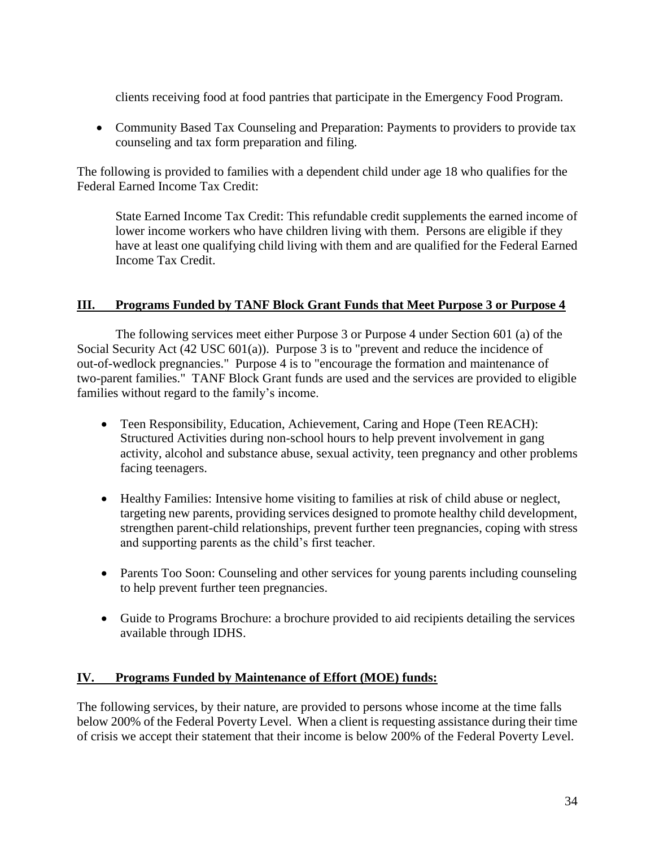clients receiving food at food pantries that participate in the Emergency Food Program.

• Community Based Tax Counseling and Preparation: Payments to providers to provide tax counseling and tax form preparation and filing.

The following is provided to families with a dependent child under age 18 who qualifies for the Federal Earned Income Tax Credit:

State Earned Income Tax Credit: This refundable credit supplements the earned income of lower income workers who have children living with them. Persons are eligible if they have at least one qualifying child living with them and are qualified for the Federal Earned Income Tax Credit.

# **III. Programs Funded by TANF Block Grant Funds that Meet Purpose 3 or Purpose 4**

The following services meet either Purpose 3 or Purpose 4 under Section 601 (a) of the Social Security Act (42 USC 601(a)). Purpose 3 is to "prevent and reduce the incidence of out-of-wedlock pregnancies." Purpose 4 is to "encourage the formation and maintenance of two-parent families." TANF Block Grant funds are used and the services are provided to eligible families without regard to the family's income.

- Teen Responsibility, Education, Achievement, Caring and Hope (Teen REACH): Structured Activities during non-school hours to help prevent involvement in gang activity, alcohol and substance abuse, sexual activity, teen pregnancy and other problems facing teenagers.
- Healthy Families: Intensive home visiting to families at risk of child abuse or neglect, targeting new parents, providing services designed to promote healthy child development, strengthen parent-child relationships, prevent further teen pregnancies, coping with stress and supporting parents as the child's first teacher.
- Parents Too Soon: Counseling and other services for young parents including counseling to help prevent further teen pregnancies.
- Guide to Programs Brochure: a brochure provided to aid recipients detailing the services available through IDHS.

## **IV. Programs Funded by Maintenance of Effort (MOE) funds:**

The following services, by their nature, are provided to persons whose income at the time falls below 200% of the Federal Poverty Level. When a client is requesting assistance during their time of crisis we accept their statement that their income is below 200% of the Federal Poverty Level.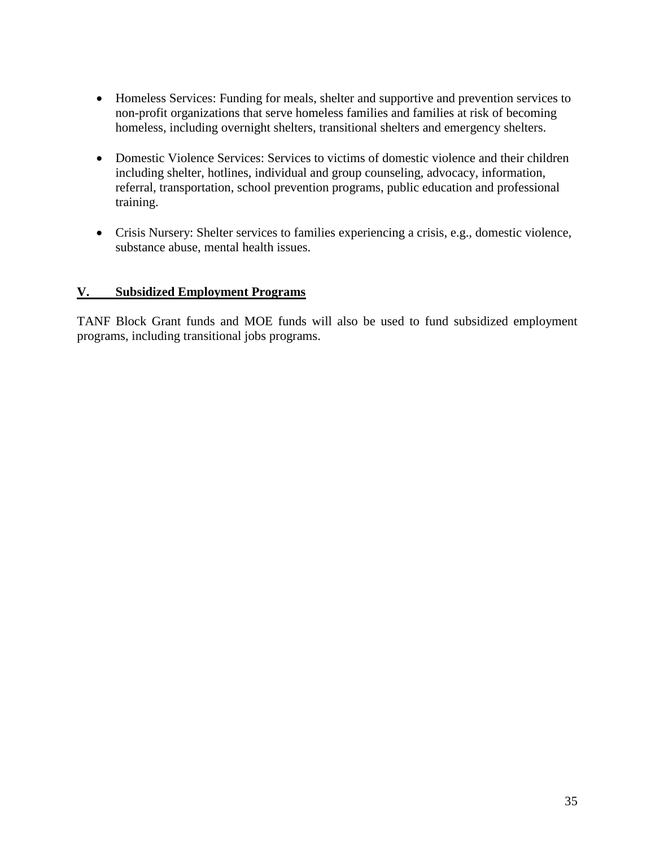- Homeless Services: Funding for meals, shelter and supportive and prevention services to non-profit organizations that serve homeless families and families at risk of becoming homeless, including overnight shelters, transitional shelters and emergency shelters.
- Domestic Violence Services: Services to victims of domestic violence and their children including shelter, hotlines, individual and group counseling, advocacy, information, referral, transportation, school prevention programs, public education and professional training.
- Crisis Nursery: Shelter services to families experiencing a crisis, e.g., domestic violence, substance abuse, mental health issues.

# **V. Subsidized Employment Programs**

TANF Block Grant funds and MOE funds will also be used to fund subsidized employment programs, including transitional jobs programs.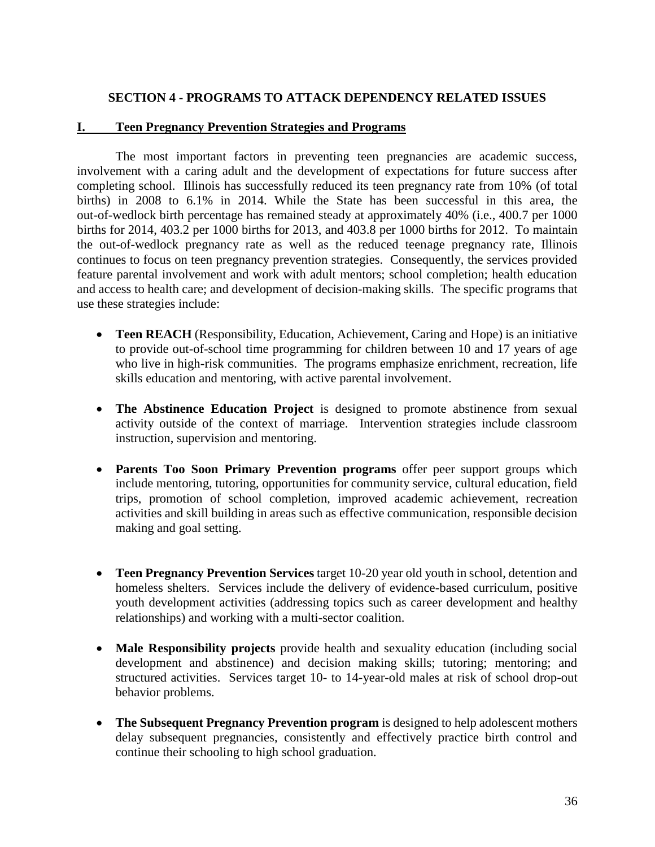## **SECTION 4 - PROGRAMS TO ATTACK DEPENDENCY RELATED ISSUES**

#### **I. Teen Pregnancy Prevention Strategies and Programs**

The most important factors in preventing teen pregnancies are academic success, involvement with a caring adult and the development of expectations for future success after completing school. Illinois has successfully reduced its teen pregnancy rate from 10% (of total births) in 2008 to 6.1% in 2014. While the State has been successful in this area, the out-of-wedlock birth percentage has remained steady at approximately 40% (i.e., 400.7 per 1000 births for 2014, 403.2 per 1000 births for 2013, and 403.8 per 1000 births for 2012. To maintain the out-of-wedlock pregnancy rate as well as the reduced teenage pregnancy rate, Illinois continues to focus on teen pregnancy prevention strategies. Consequently, the services provided feature parental involvement and work with adult mentors; school completion; health education and access to health care; and development of decision-making skills. The specific programs that use these strategies include:

- **Teen REACH** (Responsibility, Education, Achievement, Caring and Hope) is an initiative to provide out-of-school time programming for children between 10 and 17 years of age who live in high-risk communities. The programs emphasize enrichment, recreation, life skills education and mentoring, with active parental involvement.
- **The Abstinence Education Project** is designed to promote abstinence from sexual activity outside of the context of marriage. Intervention strategies include classroom instruction, supervision and mentoring.
- **Parents Too Soon Primary Prevention programs** offer peer support groups which include mentoring, tutoring, opportunities for community service, cultural education, field trips, promotion of school completion, improved academic achievement, recreation activities and skill building in areas such as effective communication, responsible decision making and goal setting.
- **Teen Pregnancy Prevention Services** target 10-20 year old youth in school, detention and homeless shelters. Services include the delivery of evidence-based curriculum, positive youth development activities (addressing topics such as career development and healthy relationships) and working with a multi-sector coalition.
- **Male Responsibility projects** provide health and sexuality education (including social development and abstinence) and decision making skills; tutoring; mentoring; and structured activities. Services target 10- to 14-year-old males at risk of school drop-out behavior problems.
- **The Subsequent Pregnancy Prevention program** is designed to help adolescent mothers delay subsequent pregnancies, consistently and effectively practice birth control and continue their schooling to high school graduation.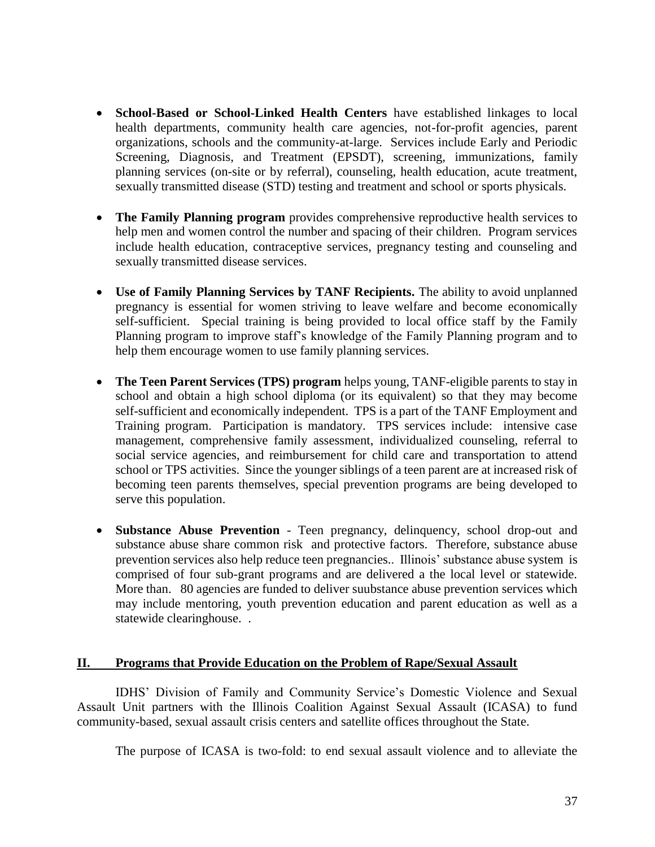- **School-Based or School-Linked Health Centers** have established linkages to local health departments, community health care agencies, not-for-profit agencies, parent organizations, schools and the community-at-large. Services include Early and Periodic Screening, Diagnosis, and Treatment (EPSDT), screening, immunizations, family planning services (on-site or by referral), counseling, health education, acute treatment, sexually transmitted disease (STD) testing and treatment and school or sports physicals.
- **The Family Planning program** provides comprehensive reproductive health services to help men and women control the number and spacing of their children. Program services include health education, contraceptive services, pregnancy testing and counseling and sexually transmitted disease services.
- **Use of Family Planning Services by TANF Recipients.** The ability to avoid unplanned pregnancy is essential for women striving to leave welfare and become economically self-sufficient. Special training is being provided to local office staff by the Family Planning program to improve staff's knowledge of the Family Planning program and to help them encourage women to use family planning services.
- **The Teen Parent Services (TPS) program** helps young, TANF-eligible parents to stay in school and obtain a high school diploma (or its equivalent) so that they may become self-sufficient and economically independent. TPS is a part of the TANF Employment and Training program. Participation is mandatory. TPS services include: intensive case management, comprehensive family assessment, individualized counseling, referral to social service agencies, and reimbursement for child care and transportation to attend school or TPS activities. Since the younger siblings of a teen parent are at increased risk of becoming teen parents themselves, special prevention programs are being developed to serve this population.
- **Substance Abuse Prevention** Teen pregnancy, delinquency, school drop-out and substance abuse share common risk and protective factors. Therefore, substance abuse prevention services also help reduce teen pregnancies.. Illinois' substance abuse system is comprised of four sub-grant programs and are delivered a the local level or statewide. More than. 80 agencies are funded to deliver suubstance abuse prevention services which may include mentoring, youth prevention education and parent education as well as a statewide clearinghouse. .

#### **II. Programs that Provide Education on the Problem of Rape/Sexual Assault**

IDHS' Division of Family and Community Service's Domestic Violence and Sexual Assault Unit partners with the Illinois Coalition Against Sexual Assault (ICASA) to fund community-based, sexual assault crisis centers and satellite offices throughout the State.

The purpose of ICASA is two-fold: to end sexual assault violence and to alleviate the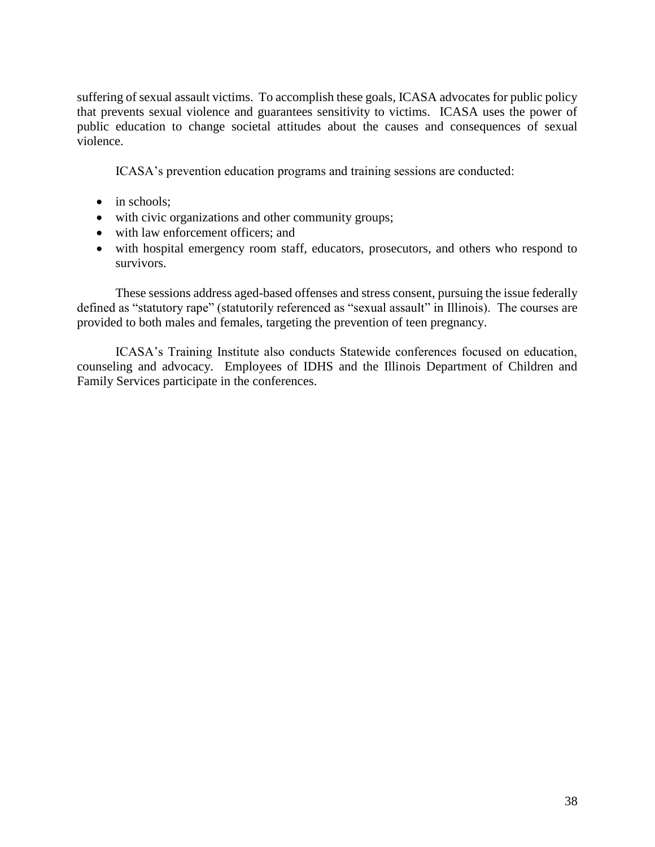suffering of sexual assault victims. To accomplish these goals, ICASA advocates for public policy that prevents sexual violence and guarantees sensitivity to victims. ICASA uses the power of public education to change societal attitudes about the causes and consequences of sexual violence.

ICASA's prevention education programs and training sessions are conducted:

- $\bullet$  in schools;
- with civic organizations and other community groups;
- with law enforcement officers; and
- with hospital emergency room staff, educators, prosecutors, and others who respond to survivors.

These sessions address aged-based offenses and stress consent, pursuing the issue federally defined as "statutory rape" (statutorily referenced as "sexual assault" in Illinois). The courses are provided to both males and females, targeting the prevention of teen pregnancy.

ICASA's Training Institute also conducts Statewide conferences focused on education, counseling and advocacy. Employees of IDHS and the Illinois Department of Children and Family Services participate in the conferences.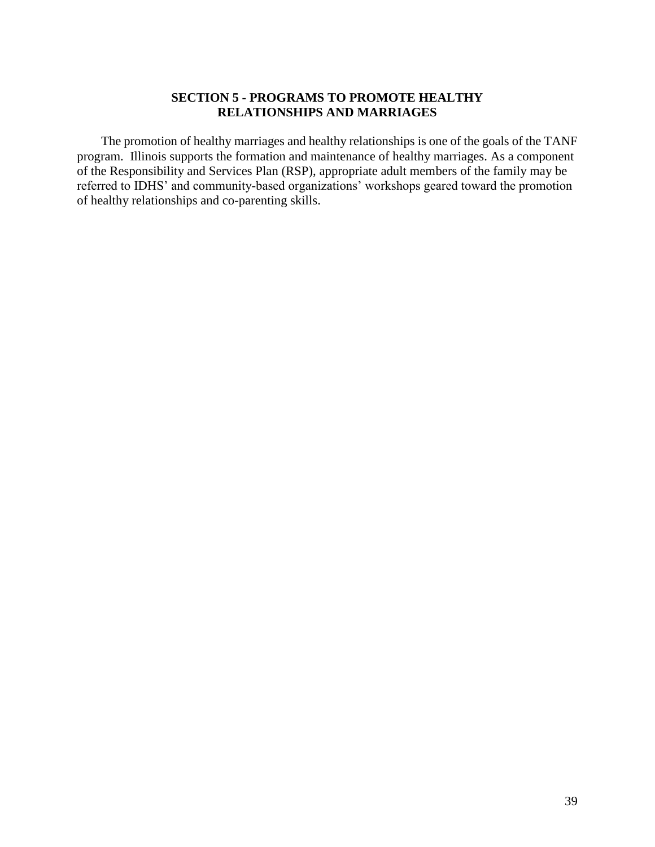## **SECTION 5 - PROGRAMS TO PROMOTE HEALTHY RELATIONSHIPS AND MARRIAGES**

The promotion of healthy marriages and healthy relationships is one of the goals of the TANF program. Illinois supports the formation and maintenance of healthy marriages. As a component of the Responsibility and Services Plan (RSP), appropriate adult members of the family may be referred to IDHS' and community-based organizations' workshops geared toward the promotion of healthy relationships and co-parenting skills.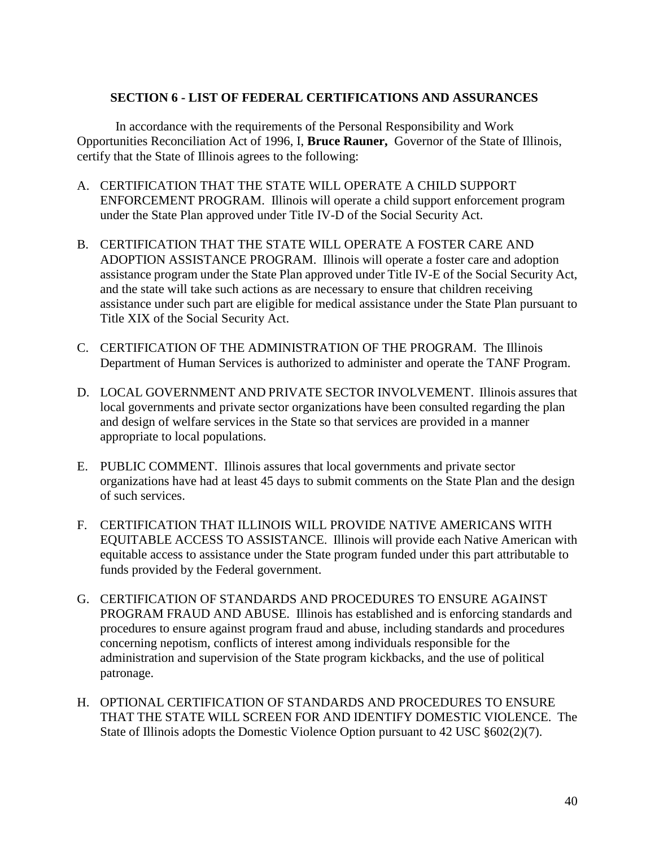## **SECTION 6 - LIST OF FEDERAL CERTIFICATIONS AND ASSURANCES**

In accordance with the requirements of the Personal Responsibility and Work Opportunities Reconciliation Act of 1996, I, **Bruce Rauner,** Governor of the State of Illinois, certify that the State of Illinois agrees to the following:

- A. CERTIFICATION THAT THE STATE WILL OPERATE A CHILD SUPPORT ENFORCEMENT PROGRAM. Illinois will operate a child support enforcement program under the State Plan approved under Title IV-D of the Social Security Act.
- B. CERTIFICATION THAT THE STATE WILL OPERATE A FOSTER CARE AND ADOPTION ASSISTANCE PROGRAM. Illinois will operate a foster care and adoption assistance program under the State Plan approved under Title IV-E of the Social Security Act, and the state will take such actions as are necessary to ensure that children receiving assistance under such part are eligible for medical assistance under the State Plan pursuant to Title XIX of the Social Security Act.
- C. CERTIFICATION OF THE ADMINISTRATION OF THE PROGRAM. The Illinois Department of Human Services is authorized to administer and operate the TANF Program.
- D. LOCAL GOVERNMENT AND PRIVATE SECTOR INVOLVEMENT. Illinois assures that local governments and private sector organizations have been consulted regarding the plan and design of welfare services in the State so that services are provided in a manner appropriate to local populations.
- E. PUBLIC COMMENT. Illinois assures that local governments and private sector organizations have had at least 45 days to submit comments on the State Plan and the design of such services.
- F. CERTIFICATION THAT ILLINOIS WILL PROVIDE NATIVE AMERICANS WITH EQUITABLE ACCESS TO ASSISTANCE. Illinois will provide each Native American with equitable access to assistance under the State program funded under this part attributable to funds provided by the Federal government.
- G. CERTIFICATION OF STANDARDS AND PROCEDURES TO ENSURE AGAINST PROGRAM FRAUD AND ABUSE. Illinois has established and is enforcing standards and procedures to ensure against program fraud and abuse, including standards and procedures concerning nepotism, conflicts of interest among individuals responsible for the administration and supervision of the State program kickbacks, and the use of political patronage.
- H. OPTIONAL CERTIFICATION OF STANDARDS AND PROCEDURES TO ENSURE THAT THE STATE WILL SCREEN FOR AND IDENTIFY DOMESTIC VIOLENCE. The State of Illinois adopts the Domestic Violence Option pursuant to 42 USC §602(2)(7).